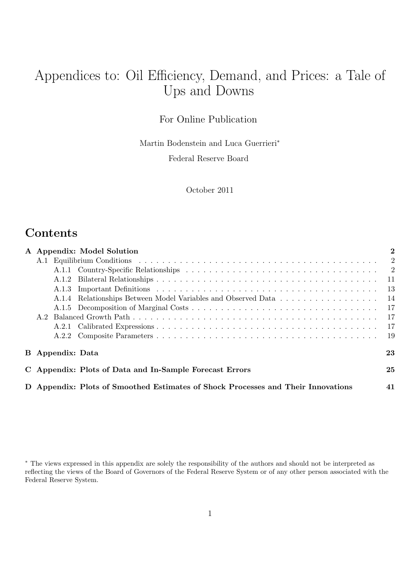# Appendices to: Oil Efficiency, Demand, and Prices: a Tale of Ups and Downs

For Online Publication

Martin Bodenstein and Luca Guerrieri<sup>∗</sup>

Federal Reserve Board

October 2011

## **Contents**

|                         | A Appendix: Model Solution                                                       | $\boldsymbol{2}$ |
|-------------------------|----------------------------------------------------------------------------------|------------------|
|                         |                                                                                  |                  |
|                         |                                                                                  |                  |
|                         |                                                                                  |                  |
|                         |                                                                                  | -13              |
|                         | A.1.4 Relationships Between Model Variables and Observed Data                    | - 14             |
|                         |                                                                                  | - 17             |
|                         |                                                                                  | - 17             |
|                         |                                                                                  | - 17             |
|                         |                                                                                  | - 19             |
| <b>B</b> Appendix: Data |                                                                                  | 23               |
|                         | C Appendix: Plots of Data and In-Sample Forecast Errors                          | 25               |
|                         | D Appendix: Plots of Smoothed Estimates of Shock Processes and Their Innovations | 41               |

<sup>∗</sup> The views expressed in this appendix are solely the responsibility of the authors and should not be interpreted as reflecting the views of the Board of Governors of the Federal Reserve System or of any other person associated with the Federal Reserve System.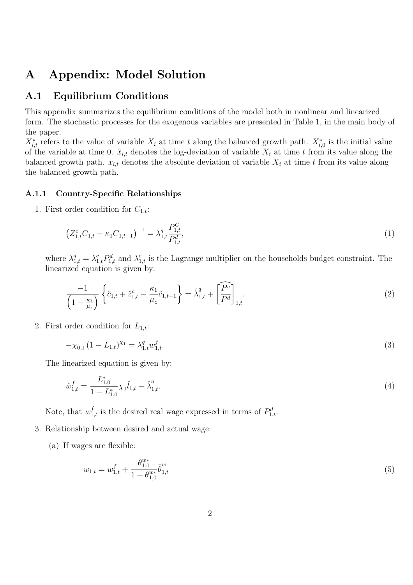## A Appendix: Model Solution

### A.1 Equilibrium Conditions

This appendix summarizes the equilibrium conditions of the model both in nonlinear and linearized form. The stochastic processes for the exogenous variables are presented in Table 1, in the main body of the paper.

 $X_{i,t}^*$  refers to the value of variable  $X_i$  at time t along the balanced growth path.  $X_{i,0}^*$  is the initial value of the variable at time 0.  $\hat{x}_{i,t}$  denotes the log-deviation of variable  $X_i$  at time t from its value along the balanced growth path.  $x_{i,t}$  denotes the absolute deviation of variable  $X_i$  at time t from its value along the balanced growth path.

#### A.1.1 Country-Specific Relationships

1. First order condition for  $C_{1,t}$ :

$$
\left(Z_{1,t}^c C_{1,t} - \kappa_1 C_{1,t-1}\right)^{-1} = \lambda_{1,t}^q \frac{P_{1,t}^C}{P_{1,t}^d},\tag{1}
$$

where  $\lambda_{1,t}^q = \lambda_{1,t}^c P_{1,t}^d$  and  $\lambda_{1,t}^c$  is the Lagrange multiplier on the households budget constraint. The linearized equation is given by:

$$
\frac{-1}{\left(1 - \frac{\kappa_1}{\mu_z}\right)} \left\{\hat{c}_{1,t} + \hat{z}_{1,t}^c - \frac{\kappa_1}{\mu_z} \hat{c}_{1,t-1}\right\} = \hat{\lambda}_{1,t}^q + \left[\widehat{P^c}\right]_{1,t}.
$$
\n(2)

2. First order condition for  $L_{1,t}$ :

$$
-\chi_{0,1} (1 - L_{1,t})^{\chi_1} = \lambda_{1,t}^q w_{1,t}^f. \tag{3}
$$

The linearized equation is given by:

$$
\hat{w}_{1,t}^f = \frac{L_{1,0}^*}{1 - L_{1,0}^*} \chi_1 \hat{l}_{1,t} - \hat{\lambda}_{1,t}^q. \tag{4}
$$

Note, that  $w_{1,t}^f$  is the desired real wage expressed in terms of  $P_{1,t}^d$ .

- 3. Relationship between desired and actual wage:
	- (a) If wages are flexible:

$$
w_{1,t} = w_{1,t}^f + \frac{\theta_{1,0}^{w*}}{1 + \theta_{1,0}^{w*}} \hat{\theta}_{1,t}^w
$$
\n
$$
\tag{5}
$$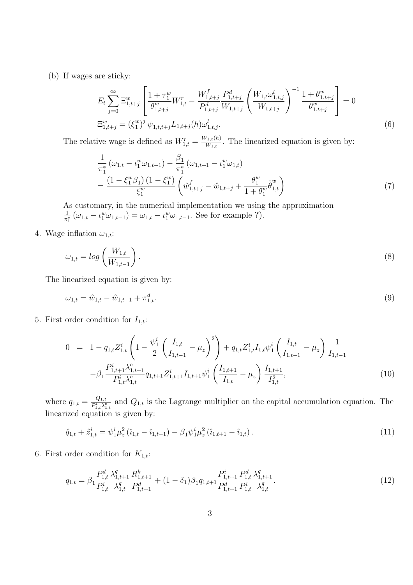(b) If wages are sticky:

$$
E_{t} \sum_{j=0}^{\infty} \Xi_{1,t+j}^{w} \left[ \frac{1+\tau_{1}^{w}}{\theta_{1,t+j}^{w}} W_{1,t}^{r} - \frac{W_{1,t+j}^{f}}{P_{1,t+j}^{d}} \frac{P_{1,t+j}^{d}}{W_{1,t+j}} \left( \frac{W_{1,t} \omega_{1,t,j}^{l}}{W_{1,t+j}} \right)^{-1} \frac{1+\theta_{1,t+j}^{w}}{\theta_{1,t+j}^{w}} \right] = 0
$$
  

$$
\Xi_{1,t+j}^{w} = \left( \xi_{1}^{w} \right)^{j} \psi_{1,t,t+j} L_{1,t+j}(h) \omega_{1,t,j}^{l}.
$$
 (6)

The relative wage is defined as  $W_{1,t}^r = \frac{W_{1,t}(h)}{W_{1,t}}$  $\frac{N_{1,t}(h)}{W_{1,t}}$ . The linearized equation is given by:

$$
\frac{1}{\pi_1^*} \left( \omega_{1,t} - \iota_1^w \omega_{1,t-1} \right) - \frac{\beta_1}{\pi_1^*} \left( \omega_{1,t+1} - \iota_1^w \omega_{1,t} \right) \n= \frac{\left( 1 - \xi_1^w \beta_1 \right) \left( 1 - \xi_1^w \right)}{\xi_1^w} \left( \hat{w}_{1,t+j}^f - \hat{w}_{1,t+j} + \frac{\theta_1^w}{1 + \theta_1^w} \hat{\theta}_{1,t}^w \right)
$$
\n(7)

As customary, in the numerical implementation we using the approximation 1  $\frac{1}{\pi_1^*}(\omega_{1,t}-\iota_1^w\omega_{1,t-1})=\omega_{1,t}-\iota_1^w\omega_{1,t-1}$ . See for example ?).

4. Wage inflation  $\omega_{1,t}$ :

$$
\omega_{1,t} = \log\left(\frac{W_{1,t}}{W_{1,t-1}}\right). \tag{8}
$$

The linearized equation is given by:

$$
\omega_{1,t} = \hat{w}_{1,t} - \hat{w}_{1,t-1} + \pi_{1,t}^d. \tag{9}
$$

5. First order condition for  $I_{1,t}$ :

$$
0 = 1 - q_{1,t} Z_{1,t}^{i} \left( 1 - \frac{\psi_1^{i}}{2} \left( \frac{I_{1,t}}{I_{1,t-1}} - \mu_z \right)^2 \right) + q_{1,t} Z_{1,t}^{i} I_{1,t} \psi_1^{i} \left( \frac{I_{1,t}}{I_{1,t-1}} - \mu_z \right) \frac{1}{I_{1,t-1}} -\beta_1 \frac{P_{1,t+1}^{i} \lambda_{1,t+1}^c}{P_{1,t}^{i} \lambda_{1,t}^c} q_{1,t+1} Z_{1,t+1}^{i} I_{1,t+1} \psi_1^{i} \left( \frac{I_{1,t+1}}{I_{1,t}} - \mu_z \right) \frac{I_{1,t+1}}{I_{1,t}^2},
$$
\n
$$
(10)
$$

where  $q_{1,t} = \frac{Q_{1,t}}{P}$  $\frac{Q_{1,t}}{P_{1,t}^i \lambda_{1,t}^c}$  and  $Q_{1,t}$  is the Lagrange multiplier on the capital accumulation equation. The linearized equation is given by:

$$
\hat{q}_{1,t} + \hat{z}_{1,t}^i = \psi_1^i \mu_z^2 (\hat{\imath}_{1,t} - \hat{\imath}_{1,t-1}) - \beta_1 \psi_1^i \mu_z^2 (\hat{\imath}_{1,t+1} - \hat{\imath}_{1,t}). \tag{11}
$$

6. First order condition for  $K_{1,t}$ :

$$
q_{1,t} = \beta_1 \frac{P_{1,t}^d}{P_{1,t}^i} \frac{\lambda_{1,t+1}^q}{\lambda_{1,t}^q} \frac{R_{1,t+1}^k}{P_{1,t+1}^d} + (1 - \delta_1)\beta_1 q_{1,t+1} \frac{P_{1,t+1}^i}{P_{1,t+1}^d} \frac{P_{1,t}^d}{P_{1,t}^i} \frac{\lambda_{1,t+1}^q}{\lambda_{1,t}^q}.
$$
\n
$$
(12)
$$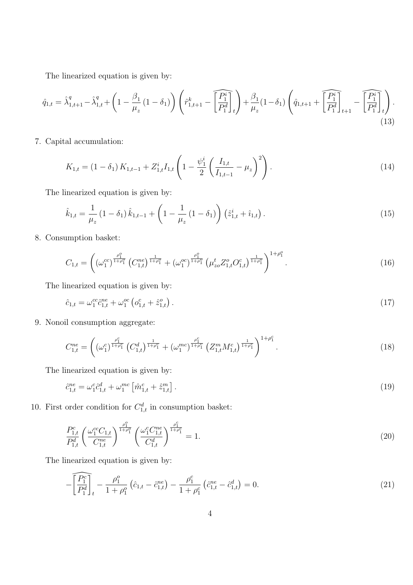The linearized equation is given by:

$$
\hat{q}_{1,t} = \hat{\lambda}_{1,t+1}^q - \hat{\lambda}_{1,t}^q + \left(1 - \frac{\beta_1}{\mu_z} \left(1 - \delta_1\right)\right) \left(\hat{r}_{1,t+1}^k - \widehat{\left[\frac{P_1^i}{P_1^d}\right]_t}\right) + \frac{\beta_1}{\mu_z} \left(1 - \delta_1\right) \left(\hat{q}_{1,t+1} + \widehat{\left[\frac{P_1^i}{P_1^d}\right]_t} - \widehat{\left[\frac{P_1^i}{P_1^d}\right]_t}\right). \tag{13}
$$

7. Capital accumulation:

$$
K_{1,t} = (1 - \delta_1) K_{1,t-1} + Z_{1,t}^i I_{1,t} \left( 1 - \frac{\psi_1^i}{2} \left( \frac{I_{1,t}}{I_{1,t-1}} - \mu_z \right)^2 \right).
$$
 (14)

The linearized equation is given by:

$$
\hat{k}_{1,t} = \frac{1}{\mu_z} \left( 1 - \delta_1 \right) \hat{k}_{1,t-1} + \left( 1 - \frac{1}{\mu_z} \left( 1 - \delta_1 \right) \right) \left( \hat{z}_{1,t}^i + \hat{i}_{1,t} \right). \tag{15}
$$

8. Consumption basket:

$$
C_{1,t} = \left( \left( \omega_1^{cc} \right)^{\frac{\rho_1^o}{1+\rho_1^o}} \left( C_{1,t}^{ne} \right)^{\frac{1}{1+\rho_1^o}} + \left( \omega_1^{oc} \right)^{\frac{\rho_1^o}{1+\rho_1^o}} \left( \mu_{zo}^t Z_{1,t}^o C_{1,t}^c \right)^{\frac{1}{1+\rho_1^o}} \right)^{1+\rho_1^o} . \tag{16}
$$

The linearized equation is given by:

$$
\hat{c}_{1,t} = \omega_1^{cc} \hat{c}_{1,t}^{ne} + \omega_1^{oc} \left( o_{1,t}^c + \hat{z}_{1,t}^o \right).
$$
\n(17)

9. Nonoil consumption aggregate:

$$
C_{1,t}^{ne} = \left( \left( \omega_1^c \right)^{\frac{\rho_1^c}{1+\rho_1^c}} \left( C_{1,t}^d \right)^{\frac{1}{1+\rho_1^c}} + \left( \omega_1^{mc} \right)^{\frac{\rho_1^c}{1+\rho_1^c}} \left( Z_{1,t}^m M_{1,t}^c \right)^{\frac{1}{1+\rho_1^c}} \right)^{1+\rho_1^c} . \tag{18}
$$

The linearized equation is given by:

$$
\hat{c}_{1,t}^{ne} = \omega_1^c \hat{c}_{1,t}^d + \omega_1^{mc} \left[ \hat{m}_{1,t}^c + \hat{z}_{1,t}^m \right]. \tag{19}
$$

10. First order condition for  $C_{1,t}^d$  in consumption basket:

$$
\frac{P_{1,t}^c}{P_{1,t}^d} \left(\frac{\omega_1^{cc}C_{1,t}}{C_{1,t}^{ne}}\right)^{\frac{\rho_1^o}{1+\rho_1^o}} \left(\frac{\omega_1^c C_{1,t}^{ne}}{C_{1,t}^d}\right)^{\frac{\rho_1^c}{1+\rho_1^c}} = 1.
$$
\n(20)

$$
-\widehat{\left[\frac{P_1^c}{P_1^d}\right]_t} - \frac{\rho_1^o}{1+\rho_1^o} \left(\hat{c}_{1,t} - \hat{c}_{1,t}^{ne}\right) - \frac{\rho_1^c}{1+\rho_1^c} \left(\hat{c}_{1,t}^{ne} - \hat{c}_{1,t}^d\right) = 0.
$$
\n(21)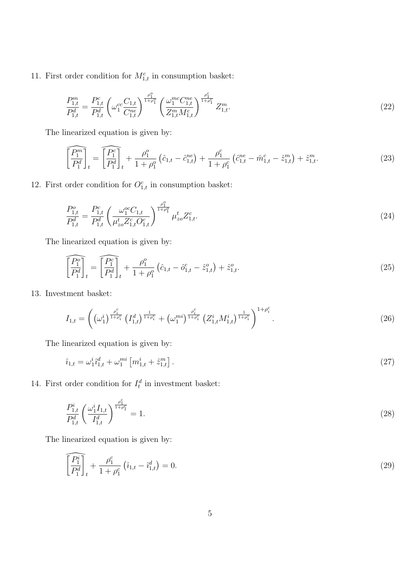11. First order condition for  $M_{1,t}^c$  in consumption basket:

$$
\frac{P_{1,t}^m}{P_{1,t}^d} = \frac{P_{1,t}^c}{P_{1,t}^d} \left(\omega_1^{cc} \frac{C_{1,t}}{C_{1,t}^m}\right)^{\frac{\rho_1^c}{1+\rho_1^c}} \left(\frac{\omega_1^{mc} C_{1,t}^{ne}}{Z_{1,t}^m M_{1,t}^c}\right)^{\frac{\rho_1^c}{1+\rho_1^c}} Z_{1,t}^m. \tag{22}
$$

The linearized equation is given by:

$$
\widehat{\left[\frac{P_1^m}{P_1^d}\right]_t} = \widehat{\left[\frac{P_1^c}{P_1^d}\right]_t} + \frac{\rho_1^o}{1+\rho_1^o} \left(\hat{c}_{1,t} - \hat{c}_{1,t}^{ne}\right) + \frac{\rho_1^c}{1+\rho_1^c} \left(\hat{c}_{1,t}^{ne} - \hat{m}_{1,t}^c - \hat{z}_{1,t}^m\right) + \hat{z}_{1,t}^m. \tag{23}
$$

12. First order condition for  $O_{1,t}^c$  in consumption basket:

$$
\frac{P_{1,t}^o}{P_{1,t}^d} = \frac{P_{1,t}^c}{P_{1,t}^d} \left(\frac{\omega_1^{oc}C_{1,t}}{\mu_{zo}^t Z_{1,t}^c C_{1,t}^c}\right)^{\frac{\rho_1^o}{1+\rho_1^o}} \mu_{zo}^t Z_{1,t}^c.
$$
\n(24)

The linearized equation is given by:

$$
\widehat{\left[\frac{P_1^o}{P_1^d}\right]_t} = \widehat{\left[\frac{P_1^c}{P_1^d}\right]_t} + \frac{\rho_1^o}{1 + \rho_1^o} \left(\hat{c}_{1,t} - \hat{o}_{1,t}^c - \hat{z}_{1,t}^o\right) + \hat{z}_{1,t}^o.
$$
\n(25)

13. Investment basket:

$$
I_{1,t} = \left( \left(\omega_1^i\right)^{\frac{\rho_i^c}{1+\rho_i^c}} \left(I_{1,t}^d\right)^{\frac{1}{1+\rho_i^c}} + \left(\omega_1^{mi}\right)^{\frac{\rho_i^c}{1+\rho_i^c}} \left(Z_{1,t}^i M_{1,t}^i\right)^{\frac{1}{1+\rho_i^c}} \right)^{1+\rho_i^c} . \tag{26}
$$

The linearized equation is given by:

$$
\hat{i}_{1,t} = \omega_1^i \hat{i}_{1,t}^d + \omega_1^{mi} \left[ m_{1,t}^i + \hat{z}_{1,t}^m \right]. \tag{27}
$$

14. First order condition for  $I_t^d$  in investment basket:

$$
\frac{P_{1,t}^i}{P_{1,t}^d} \left(\frac{\omega_1^i I_{1,t}}{I_{1,t}^d}\right)^{\frac{\rho_1^c}{1+\rho_1^c}} = 1.
$$
\n(28)

$$
\widehat{\left[\frac{P_1^i}{P_1^d}\right]_t} + \frac{\rho_1^c}{1 + \rho_1^c} \left(\hat{i}_{1,t} - \hat{i}_{1,t}^d\right) = 0. \tag{29}
$$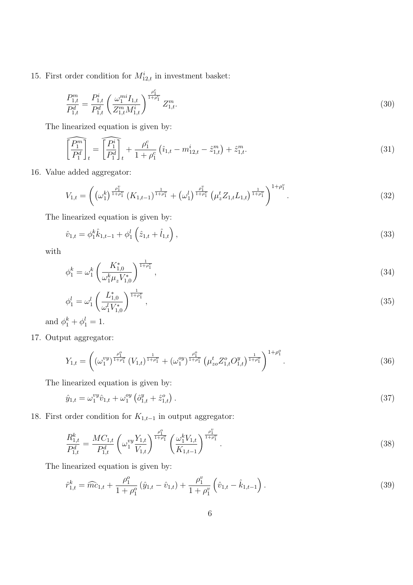15. First order condition for  $M_{12,t}^i$  in investment basket:

$$
\frac{P_{1,t}^m}{P_{1,t}^d} = \frac{P_{1,t}^i}{P_{1,t}^d} \left(\frac{\omega_1^{mi} I_{1,t}}{Z_{1,t}^m M_{1,t}^i}\right)^{\frac{\rho_1^c}{1+\rho_1^c}} Z_{1,t}^m.
$$
\n(30)

The linearized equation is given by:

$$
\widehat{\left[\frac{P_1^m}{P_1^d}\right]_t} = \widehat{\left[\frac{P_1^i}{P_1^d}\right]_t} + \frac{\rho_1^c}{1 + \rho_1^c} \left(\hat{\imath}_{1,t} - m_{12,t}^i - \hat{z}_{1,t}^m\right) + \hat{z}_{1,t}^m. \tag{31}
$$

16. Value added aggregator:

$$
V_{1,t} = \left( \left( \omega_1^k \right)^{\frac{\rho_1^v}{1+\rho_1^v}} \left( K_{1,t-1} \right)^{\frac{1}{1+\rho_1^v}} + \left( \omega_1^l \right)^{\frac{\rho_1^v}{1+\rho_1^v}} \left( \mu_z^t Z_{1,t} L_{1,t} \right)^{\frac{1}{1+\rho_1^v}} \right)^{1+\rho_1^v} . \tag{32}
$$

The linearized equation is given by:

$$
\hat{v}_{1,t} = \phi_1^k \hat{k}_{1,t-1} + \phi_1^l \left( \hat{z}_{1,t} + \hat{l}_{1,t} \right), \tag{33}
$$

with

$$
\phi_1^k = \omega_1^k \left( \frac{K_{1,0}^*}{\omega_1^k \mu_z V_{1,0}^*} \right)^{\frac{1}{1+\rho_1^v}},\tag{34}
$$

$$
\phi_1^l = \omega_1^l \left( \frac{L_{1,0}^*}{\omega_1^l V_{1,0}^*} \right)^{\frac{1}{1+\rho_1^v}},\tag{35}
$$

and  $\phi_1^k + \phi_1^l = 1$ .

17. Output aggregator:

$$
Y_{1,t} = \left( \left( \omega_1^{vy} \right)^{\frac{\rho_1^o}{1+\rho_1^o}} (V_{1,t})^{\frac{1}{1+\rho_1^o}} + \left( \omega_1^{oy} \right)^{\frac{\rho_1^o}{1+\rho_1^o}} \left( \mu_{zo}^t Z_{1,t}^o O_{1,t}^y \right)^{\frac{1}{1+\rho_1^o}} \right)^{1+\rho_1^o} . \tag{36}
$$

The linearized equation is given by:

$$
\hat{y}_{1,t} = \omega_1^{vy} \hat{v}_{1,t} + \omega_1^{oy} \left( \hat{o}_{1,t}^y + \hat{z}_{1,t}^o \right).
$$
\n(37)

18. First order condition for  $K_{1,t-1}$  in output aggregator:

$$
\frac{R_{1,t}^k}{P_{1,t}^d} = \frac{MC_{1,t}}{P_{1,t}^d} \left(\omega_1^{vy} \frac{Y_{1,t}}{V_{1,t}}\right)^{\frac{\rho_1^o}{1+\rho_1^o}} \left(\frac{\omega_1^k V_{1,t}}{K_{1,t-1}}\right)^{\frac{\rho_1^v}{1+\rho_1^v}}.
$$
\n(38)

$$
\hat{r}_{1,t}^k = \widehat{mc}_{1,t} + \frac{\rho_1^o}{1 + \rho_1^o} (\hat{y}_{1,t} - \hat{v}_{1,t}) + \frac{\rho_1^v}{1 + \rho_1^v} (\hat{v}_{1,t} - \hat{k}_{1,t-1}). \tag{39}
$$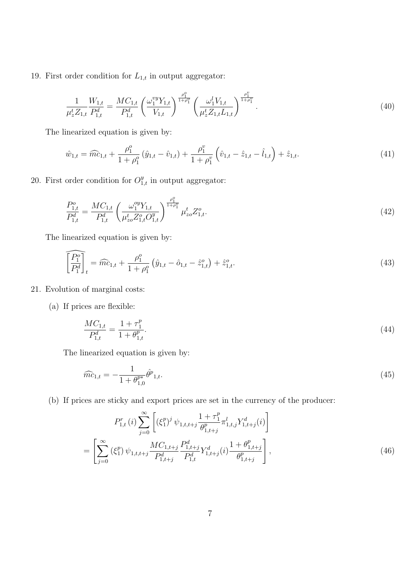19. First order condition for  $L_{1,t}$  in output aggregator:

$$
\frac{1}{\mu_z^t Z_{1,t}} \frac{W_{1,t}}{P_{1,t}^d} = \frac{MC_{1,t}}{P_{1,t}^d} \left(\frac{\omega_1^{vy} Y_{1,t}}{V_{1,t}}\right)^{\frac{\rho_1^o}{1+\rho_1^o}} \left(\frac{\omega_1^l V_{1,t}}{\mu_z^t Z_{1,t} L_{1,t}}\right)^{\frac{\rho_1^v}{1+\rho_1^v}}.
$$
\n(40)

The linearized equation is given by:

$$
\hat{w}_{1,t} = \widehat{m} \hat{c}_{1,t} + \frac{\rho_1^o}{1 + \rho_1^o} \left( \hat{y}_{1,t} - \hat{v}_{1,t} \right) + \frac{\rho_1^v}{1 + \rho_1^v} \left( \hat{v}_{1,t} - \hat{z}_{1,t} - \hat{l}_{1,t} \right) + \hat{z}_{1,t}.
$$
\n(41)

20. First order condition for  $O_{1,t}^y$  in output aggregator:

$$
\frac{P_{1,t}^o}{P_{1,t}^d} = \frac{MC_{1,t}}{P_{1,t}^d} \left(\frac{\omega_1^{oy} Y_{1,t}}{\mu_{zo}^t Z_{1,t}^o O_{1,t}^y}\right)^{\frac{\rho_1^o}{1+\rho_1^o}} \mu_{zo}^t Z_{1,t}^o.
$$
\n
$$
(42)
$$

The linearized equation is given by:

$$
\widehat{\left[\frac{P_1^o}{P_1^d}\right]_t} = \widehat{mc}_{1,t} + \frac{\rho_1^o}{1 + \rho_1^o} \left(\hat{y}_{1,t} - \hat{o}_{1,t} - \hat{z}_{1,t}^o\right) + \hat{z}_{1,t}^o.
$$
\n(43)

#### 21. Evolution of marginal costs:

(a) If prices are flexible:

$$
\frac{MC_{1,t}}{P_{1,t}^d} = \frac{1 + \tau_1^p}{1 + \theta_{1,t}^p}.\tag{44}
$$

The linearized equation is given by:

$$
\widehat{mc}_{1,t} = -\frac{1}{1 + \theta_{1,0}^{p*}} \widehat{\theta}^{p}_{1,t}.
$$
\n(45)

(b) If prices are sticky and export prices are set in the currency of the producer:

$$
P_{1,t}^{r}(i) \sum_{j=0}^{\infty} \left[ (\xi_{1}^{p})^{j} \psi_{1,t,t+j} \frac{1+\tau_{1}^{p}}{\theta_{1,t+j}^{p}} \pi_{1,t,j}^{l} Y_{1,t+j}^{d}(i) \right]
$$
  
= 
$$
\left[ \sum_{j=0}^{\infty} (\xi_{1}^{p}) \psi_{1,t,t+j} \frac{MC_{1,t+j}}{P_{1,t+j}^{d}} \frac{P_{1,t+j}^{d}}{P_{1,t}^{d}} Y_{1,t+j}^{d}(i) \frac{1+\theta_{1,t+j}^{p}}{\theta_{1,t+j}^{p}} \right],
$$
(46)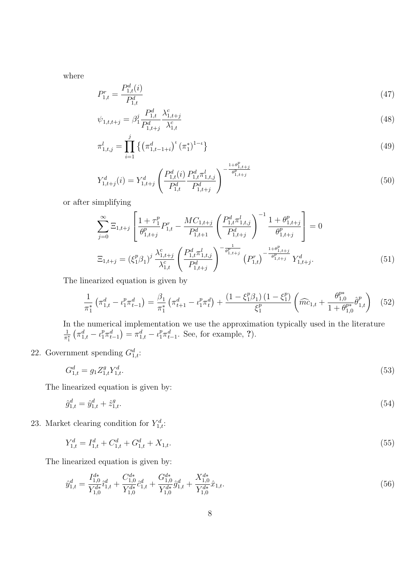where

$$
P_{1,t}^r = \frac{P_{1,t}^d(i)}{P_{1,t}^d} \tag{47}
$$

$$
\psi_{1,t,t+j} = \beta_1^j \frac{P_{1,t}^d}{P_{1,t+j}^d} \frac{\lambda_{1,t+j}^c}{\lambda_{1,t}^c} \tag{48}
$$

$$
\pi_{1,t,j}^l = \prod_{i=1}^j \left\{ \left( \pi_{1,t-1+i}^d \right)^t \left( \pi_1^* \right)^{1-t} \right\} \tag{49}
$$

$$
Y_{1,t+j}^d(i) = Y_{1,t+j}^d \left( \frac{P_{1,t}^d(i)}{P_{1,t}^d} \frac{P_{1,t}^d \pi_{1,t,j}^l}{P_{1,t+j}^d} \right)^{-\frac{1+\theta_{1,t+j}^p}{\theta_{1,t+j}^p}}
$$
(50)

or after simplifying

$$
\sum_{j=0}^{\infty} \Xi_{1,t+j} \left[ \frac{1+\tau_1^p}{\theta_{1,t+j}^p} P_{1,t}^r - \frac{MC_{1,t+j}}{P_{1,t+1}^d} \left( \frac{P_{1,t}^d \pi_{1,t,j}^l}{P_{1,t+j}^d} \right)^{-1} \frac{1+\theta_{1,t+j}^p}{\theta_{1,t+j}^p} \right] = 0
$$
  

$$
\Xi_{1,t+j} = (\xi_1^p \beta_1)^j \frac{\lambda_{1,t+j}^c}{\lambda_{1,t}^c} \left( \frac{P_{1,t}^d \pi_{1,t,j}^l}{P_{1,t+j}^d} \right)^{-\frac{1}{\theta_{1,t+j}^p}} (P_{1,t}^r)^{-\frac{1+\theta_{1,t+j}^p}{\theta_{1,t+j}^p}} Y_{1,t+j}^d.
$$
(51)

The linearized equation is given by

$$
\frac{1}{\pi_1^*} \left( \pi_{1,t}^d - \iota_1^p \pi_{t-1}^d \right) = \frac{\beta_1}{\pi_1^*} \left( \pi_{t+1}^d - \iota_1^p \pi_t^d \right) + \frac{\left( 1 - \xi_1^p \beta_1 \right) \left( 1 - \xi_1^p \right)}{\xi_1^p} \left( \widehat{mc}_{1,t} + \frac{\theta_{1,0}^{p*}}{1 + \theta_{1,0}^{p*}} \widehat{\theta}_{1,t}^p \right) \tag{52}
$$

In the numerical implementation we use the approximation typically used in the literature 1  $\overline{\pi_1^*}$ ⊤<br>∕  $\pi_{1,t}^d - \iota_1^p \pi_{t-1}^d$  $\frac{1}{\sqrt{2}}$  $=\pi_{1,t}^d - \iota_1^p \pi_{t-1}^d$ . See, for example, ?).

## 22. Government spending  $G_{1,t}^d$ :

$$
G_{1,t}^d = g_1 Z_{1,t}^g Y_{1,t}^d. \tag{53}
$$

The linearized equation is given by:

$$
\hat{g}_{1,t}^d = \hat{y}_{1,t}^d + \hat{z}_{1,t}^g. \tag{54}
$$

23. Market clearing condition for  $Y_{1,t}^d$ :

$$
Y_{1,t}^d = I_{1,t}^d + C_{1,t}^d + G_{1,t}^d + X_{1,t}.\tag{55}
$$

$$
\hat{y}_{1,t}^d = \frac{I_{1,0}^{d*}}{Y_{1,0}^{d*}} \hat{u}_{1,t}^d + \frac{C_{1,0}^{d*}}{Y_{1,0}^{d*}} \hat{c}_{1,t}^d + \frac{G_{1,0}^{d*}}{Y_{1,0}^{d*}} \hat{g}_{1,t}^d + \frac{X_{1,0}^{d*}}{Y_{1,0}^{d*}} \hat{x}_{1,t}.
$$
\n
$$
(56)
$$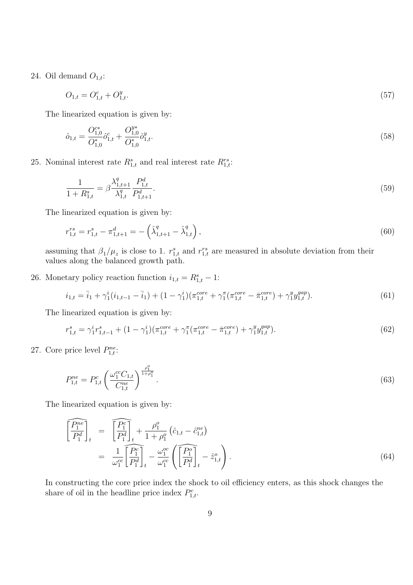24. Oil demand  $O_{1,t}$ :

$$
O_{1,t} = O_{1,t}^c + O_{1,t}^y. \tag{57}
$$

The linearized equation is given by:

$$
\hat{o}_{1,t} = \frac{O_{1,0}^{c*}}{O_{1,0}^*} \hat{o}_{1,t}^c + \frac{O_{1,0}^{y*}}{O_{1,0}^*} \hat{o}_{1,t}^y.
$$
\n(58)

25. Nominal interest rate  $R_{1,t}^s$  and real interest rate  $R_{1,t}^{rs}$ :

$$
\frac{1}{1 + R_{1,t}^s} = \beta \frac{\lambda_{1,t+1}^q}{\lambda_{1,t}^q} \frac{P_{1,t}^d}{P_{1,t+1}^d}.
$$
\n(59)

The linearized equation is given by:

$$
r_{1,t}^{rs} = r_{1,t}^s - \pi_{1,t+1}^d = -\left(\hat{\lambda}_{1,t+1}^q - \hat{\lambda}_{1,t}^q\right),\tag{60}
$$

assuming that  $\beta_1/\mu_z$  is close to 1.  $r_{1,t}^s$  and  $r_{1,t}^{rs}$  are measured in absolute deviation from their values along the balanced growth path.

26. Monetary policy reaction function  $i_{1,t} = R_{1,t}^s - 1$ :

$$
i_{1,t} = \bar{i}_1 + \gamma_1^i (i_{1,t-1} - \bar{i}_1) + (1 - \gamma_1^i) (\pi_{1,t}^{core} + \gamma_1^{\pi} (\pi_{1,t}^{core} - \bar{\pi}_{1,t}^{core}) + \gamma_1^y y_{1,t}^{gap}).
$$
\n(61)

The linearized equation is given by:

$$
r_{1,t}^s = \gamma_1^i r_{1,t-1}^s + (1 - \gamma_1^i)(\pi_{1,t}^{core} + \gamma_1^{\pi}(\pi_{1,t}^{core} - \bar{\pi}_{1,t}^{core}) + \gamma_1^y y_{1,t}^{gap}).
$$
\n(62)

27. Core price level  $P_{1,t}^{ne}$ :

$$
P_{1,t}^{ne} = P_{1,t}^c \left( \frac{\omega_1^{cc} C_{1,t}}{C_{1,t}^{ne}} \right)^{\frac{\rho_1^o}{1+\rho_1^o}}.
$$
\n
$$
(63)
$$

The linearized equation is given by:

$$
\begin{aligned}\n\left[\frac{\widehat{P_1^{ne}}}{P_1^d}\right]_t &= \left[\frac{\widehat{P_1^c}}{P_1^d}\right]_t + \frac{\rho_1^o}{1 + \rho_1^o} \left(\hat{c}_{1,t} - \hat{c}_{1,t}^{ne}\right) \\
&= \frac{1}{\omega_1^{ce}} \left[\frac{\widehat{P_1^c}}{P_1^d}\right]_t - \frac{\omega_1^{oc}}{\omega_1^{ce}} \left(\left[\frac{\widehat{P_1^o}}{P_1^d}\right]_t - \hat{z}_{1,t}^o\right).\n\end{aligned} \tag{64}
$$

In constructing the core price index the shock to oil efficiency enters, as this shock changes the share of oil in the headline price index  $P_{1,t}^c$ .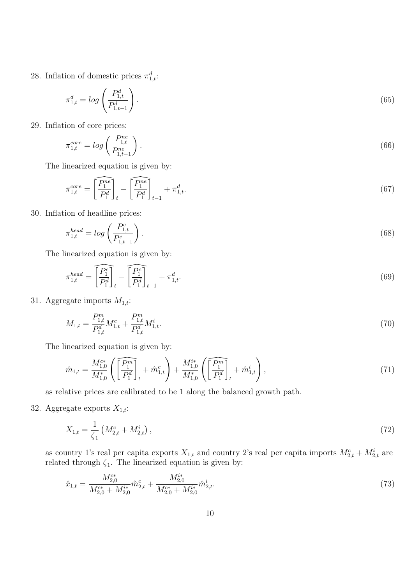28. Inflation of domestic prices  $\pi_{1,t}^d$ :

$$
\pi_{1,t}^d = \log\left(\frac{P_{1,t}^d}{P_{1,t-1}^d}\right). \tag{65}
$$

29. Inflation of core prices:

$$
\pi_{1,t}^{core} = \log\left(\frac{P_{1,t}^{ne}}{P_{1,t-1}^{ne}}\right).
$$
\n(66)

The linearized equation is given by:

$$
\pi_{1,t}^{core} = \left[\overline{\frac{P_1^{ne}}{P_1^d}}\right]_t - \left[\overline{\frac{P_1^{ne}}{P_1^d}}\right]_{t-1} + \pi_{1,t}^d.
$$
\n(67)

30. Inflation of headline prices:

$$
\pi_{1,t}^{head} = \log\left(\frac{P_{1,t}^c}{P_{1,t-1}^c}\right). \tag{68}
$$

The linearized equation is given by:

$$
\pi_{1,t}^{head} = \widehat{\left[\frac{P_1^c}{P_1^d}\right]}_t - \widehat{\left[\frac{P_1^c}{P_1^d}\right]}_{t-1} + \pi_{1,t}^d.
$$
\n
$$
(69)
$$

31. Aggregate imports  $M_{1,t}$ :

$$
M_{1,t} = \frac{P_{1,t}^m}{P_{1,t}^d} M_{1,t}^c + \frac{P_{1,t}^m}{P_{1,t}^d} M_{1,t}^i.
$$
\n
$$
(70)
$$

The linearized equation is given by:

$$
\hat{m}_{1,t} = \frac{M_{1,0}^{c*}}{M_{1,0}^*} \left( \overline{\left[ \frac{P_1^m}{P_1^d} \right]}_t + \hat{m}_{1,t}^c \right) + \frac{M_{1,0}^{i*}}{M_{1,0}^*} \left( \overline{\left[ \frac{P_1^m}{P_1^d} \right]}_t + \hat{m}_{1,t}^i \right),\tag{71}
$$

as relative prices are calibrated to be 1 along the balanced growth path.

32. Aggregate exports  $X_{1,t}$ :

$$
X_{1,t} = \frac{1}{\zeta_1} \left( M_{2,t}^c + M_{2,t}^i \right),\tag{72}
$$

as country 1's real per capita exports  $X_{1,t}$  and country 2's real per capita imports  $M_{2,t}^c + M_{2,t}^i$  are related through  $\zeta_1$ . The linearized equation is given by:

$$
\hat{x}_{1,t} = \frac{M_{2,0}^{c*}}{M_{2,0}^{c*} + M_{2,0}^{i*}} \hat{m}_{2,t}^c + \frac{M_{2,0}^{i*}}{M_{2,0}^{c*} + M_{2,0}^{i*}} \hat{m}_{2,t}^i.
$$
\n(73)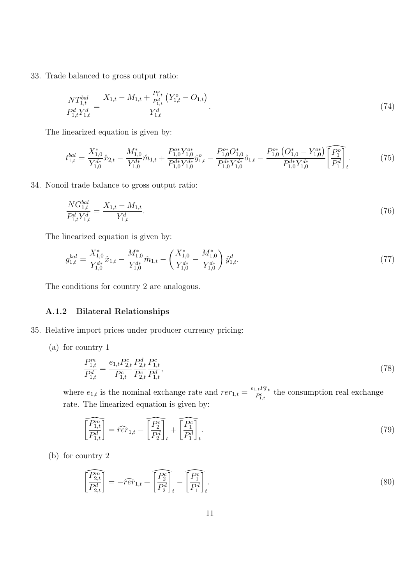33. Trade balanced to gross output ratio:

$$
\frac{NT_{1,t}^{bal}}{P_{1,t}^d Y_{1,t}^d} = \frac{X_{1,t} - M_{1,t} + \frac{P_{1,t}^o}{P_{1,t}^d} \left(Y_{1,t}^o - O_{1,t}\right)}{Y_{1,t}^d}.
$$
\n(74)

The linearized equation is given by:

$$
t_{1,t}^{bal} = \frac{X_{1,0}^*}{Y_{1,0}^{d*}} \hat{x}_{2,t} - \frac{M_{1,0}^*}{Y_{1,0}^{d*}} \hat{m}_{1,t} + \frac{P_{1,0}^{o*} Y_{1,0}^{o*}}{P_{1,0}^{d*} Y_{1,0}^{d*}} \hat{y}_{1,t}^o - \frac{P_{1,0}^{o*} O_{1,0}^*}{P_{1,0}^{d*} Y_{1,0}^{d*}} \hat{o}_{1,t} - \frac{P_{1,0}^{o*} \left( O_{1,0}^* - Y_{1,0}^{o*} \right)}{P_{1,0}^{d*} Y_{1,0}^{d*}} \overline{\left[ \frac{P_0^o}{P_1^d} \right]_t}.
$$
\n
$$
(75)
$$

34. Nonoil trade balance to gross output ratio:

$$
\frac{NG_{1,t}^{bal}}{P_{1,t}^d Y_{1,t}^d} = \frac{X_{1,t} - M_{1,t}}{Y_{1,t}^d}.
$$
\n(76)

The linearized equation is given by:

$$
g_{1,t}^{bal} = \frac{X_{1,0}^*}{Y_{1,0}^{d*}} \hat{x}_{1,t} - \frac{M_{1,0}^*}{Y_{1,0}^{d*}} \hat{m}_{1,t} - \left(\frac{X_{1,0}^*}{Y_{1,0}^{d*}} - \frac{M_{1,0}^*}{Y_{1,0}^{d*}}\right) \hat{y}_{1,t}^d.
$$
\n(77)

The conditions for country 2 are analogous.

#### A.1.2 Bilateral Relationships

- 35. Relative import prices under producer currency pricing:
	- (a) for country 1

$$
\frac{P_{1,t}^m}{P_{1,t}^d} = \frac{e_{1,t} P_{2,t}^c}{P_{1,t}^c} \frac{P_{2,t}^d}{P_{2,t}^c} \frac{P_{1,t}^c}{P_{1,t}^d},\tag{78}
$$

where  $e_{1,t}$  is the nominal exchange rate and  $rer_{1,t} = \frac{e_{1,t}P_{2,t}^c}{P_{1,t}^c}$  the consumption real exchange rate. The linearized equation is given by:

$$
\widehat{\begin{bmatrix}\nP_{1,t}^m \\
P_{1,t}^d\n\end{bmatrix}} = \widehat{r}\widehat{er}_{1,t} - \widehat{\begin{bmatrix}\nP_2^c \\
P_2^d\n\end{bmatrix}}_t + \widehat{\begin{bmatrix}\nP_1^c \\
P_1^d\n\end{bmatrix}}_t.
$$
\n(79)

(b) for country 2

$$
\widehat{\left[\frac{P_{2,t}^m}{P_{2,t}^d}\right]} = -\widehat{r}\widehat{er}_{1,t} + \widehat{\left[\frac{P_2^c}{P_2^d}\right]}_t - \widehat{\left[\frac{P_1^c}{P_1^d}\right]}_t.
$$
\n(80)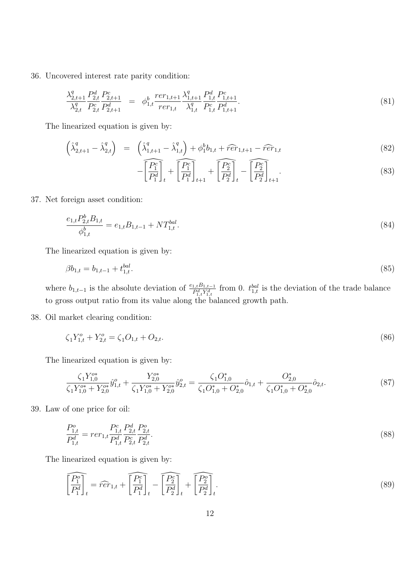36. Uncovered interest rate parity condition:

$$
\frac{\lambda_{2,t+1}^q}{\lambda_{2,t}^q} \frac{P_{2,t}^d}{P_{2,t}^c} \frac{P_{2,t+1}^c}{P_{2,t+1}^d} = \phi_{1,t}^b \frac{r e r_{1,t+1}}{r e r_{1,t}} \frac{\lambda_{1,t+1}^q}{\lambda_{1,t}^q} \frac{P_{1,t}^d}{P_{1,t}^c} \frac{P_{1,t+1}^c}{P_{1,t+1}^d}.
$$
\n(81)

The linearized equation is given by:

$$
\left(\hat{\lambda}_{2,t+1}^q - \hat{\lambda}_{2,t}^q\right) = \left(\hat{\lambda}_{1,t+1}^q - \hat{\lambda}_{1,t}^q\right) + \phi_1^b b_{1,t} + \widehat{r}\widehat{er}_{1,t+1} - \widehat{r}\widehat{er}_{1,t}
$$
\n
$$
(82)
$$

$$
-\left[\frac{\widehat{P_1^c}}{P_1^d}\right]_t + \left[\frac{\widehat{P_1^c}}{P_1^d}\right]_{t+1} + \left[\frac{\widehat{P_2^c}}{P_2^d}\right]_t - \left[\frac{\widehat{P_2^c}}{P_2^d}\right]_{t+1}.
$$
\n(83)

37. Net foreign asset condition:

$$
\frac{e_{1,t}P_{2,t}^b B_{1,t}}{\phi_{1,t}^b} = e_{1,t}B_{1,t-1} + NT_{1,t}^{bal}.
$$
\n(84)

The linearized equation is given by:

$$
\beta b_{1,t} = b_{1,t-1} + t_{1,t}^{bal}.\tag{85}
$$

where  $b_{1,t-1}$  is the absolute deviation of  $\frac{e_{1,t}B_{1,t-1}}{P_{1,t}^d Y_{1,t}^d}$  from 0.  $t_{1,t}^{bal}$  is the deviation of the trade balance to gross output ratio from its value along the balanced growth path.

38. Oil market clearing condition:

$$
\zeta_1 Y_{1,t}^o + Y_{2,t}^o = \zeta_1 O_{1,t} + O_{2,t}.\tag{86}
$$

The linearized equation is given by:

$$
\frac{\zeta_1 Y_{1,0}^{o*}}{\zeta_1 Y_{1,0}^{o*} + Y_{2,0}^{o*}} \hat{y}_{1,t}^o + \frac{Y_{2,0}^{o*}}{\zeta_1 Y_{1,0}^{o*} + Y_{2,0}^{o*}} \hat{y}_{2,t}^o = \frac{\zeta_1 O_{1,0}^*}{\zeta_1 O_{1,0}^* + O_{2,0}^*} \hat{o}_{1,t} + \frac{O_{2,0}^*}{\zeta_1 O_{1,0}^* + O_{2,0}^*} \hat{o}_{2,t}.
$$
\n
$$
(87)
$$

39. Law of one price for oil:

$$
\frac{P_{1,t}^o}{P_{1,t}^d} = r e r_{1,t} \frac{P_{1,t}^c}{P_{1,t}^d} \frac{P_{2,t}^d}{P_{2,t}^c} \frac{P_{2,t}^o}{P_{2,t}^d}.
$$
\n(88)

$$
\widehat{\left[\frac{P_1^o}{P_1^d}\right]_t} = \widehat{r}\widehat{er}_{1,t} + \widehat{\left[\frac{P_1^c}{P_1^d}\right]_t} - \widehat{\left[\frac{P_2^c}{P_2^d}\right]_t} + \widehat{\left[\frac{P_2^o}{P_2^d}\right]_t}.
$$
\n(89)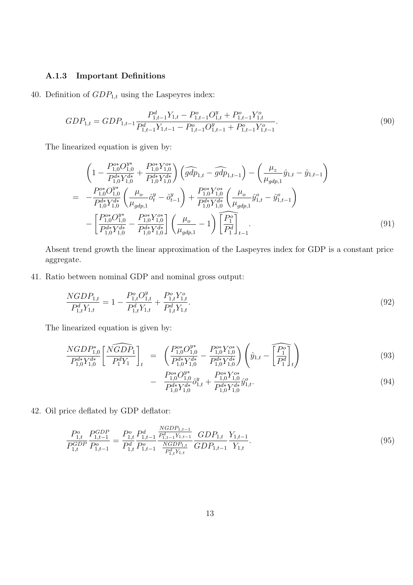### A.1.3 Important Definitions

40. Definition of  $GDP_{1,t}$  using the Laspeyres index:

$$
GDP_{1,t} = GDP_{1,t-1} \frac{P_{1,t-1}^d Y_{1,t} - P_{1,t-1}^o O_{1,t}^y + P_{1,t-1}^o Y_{1,t}^o}{P_{1,t-1}^d Y_{1,t-1} - P_{1,t-1}^o O_{1,t-1}^y + P_{1,t-1}^o Y_{1,t-1}^o}.
$$
\n
$$
(90)
$$

The linearized equation is given by:

$$
\left(1 - \frac{P_{1,0}^{o*} O_{1,0}^{y*}}{P_{1,0}^{d*} Y_{1,0}^{d*}} + \frac{P_{1,0}^{o*} Y_{1,0}^{o*}}{P_{1,0}^{d*} Y_{1,0}^{d*}}\right) \left(\widehat{gdp}_{1,t} - \widehat{gdp}_{1,t-1}\right) - \left(\frac{\mu_z}{\mu_{gdp,1}} \widehat{y}_{1,t} - \widehat{y}_{1,t-1}\right)
$$
\n
$$
= -\frac{P_{1,0}^{o*} O_{1,0}^{y*}}{P_{1,0}^{d*} Y_{1,0}^{d*}} \left(\frac{\mu_o}{\mu_{gdp,1}} \widehat{o}_t^y - \widehat{o}_{t-1}^y\right) + \frac{P_{1,0}^{o*} Y_{0,0}^{o*}}{P_{1,0}^{d*} Y_{1,0}^{d*}} \left(\frac{\mu_o}{\mu_{gdp,1}} \widehat{y}_{1,t}^o - \widehat{y}_{1,t-1}^o\right)
$$
\n
$$
- \left[\frac{P_{1,0}^{o*} O_{1,0}^{y*}}{P_{1,0}^{d*} Y_{1,0}^{d*}} - \frac{P_{1,0}^{o*} Y_{0,0}^{o*}}{P_{1,0}^{d*} Y_{1,0}^{d*}}\right] \left(\frac{\mu_o}{\mu_{gdp,1}} - 1\right) \left[\frac{P_1^o}{P_1^d}\right]_{t-1}.
$$
\n(91)

Absent trend growth the linear approximation of the Laspeyres index for GDP is a constant price aggregate.

41. Ratio between nominal GDP and nominal gross output:

$$
\frac{NGDP_{1,t}}{P_{1,t}^d Y_{1,t}} = 1 - \frac{P_{1,t}^o O_{1,t}^y}{P_{1,t}^d Y_{1,t}} + \frac{P_{1,t}^o Y_{1,t}^o}{P_{1,t}^d Y_{1,t}}.
$$
\n(92)

The linearized equation is given by:

$$
\frac{NGDP_{1,0}^*}{P_{1,0}^{d*}Y_{1,0}^{d*}} \left[ \frac{\widehat{NGDP_1}}{P_1^dY_1} \right]_t = \left( \frac{P_{1,0}^{o*}O_{1,0}^{y*}}{P_{1,0}^{d*}Y_{1,0}^{d*}} - \frac{P_{1,0}^{o*}Y_{1,0}^{o*}}{P_{1,0}^{d*}Y_{1,0}^{d*}} \right) \left( \hat{y}_{1,t} - \widehat{P_1^o} \right]_t \tag{93}
$$

$$
- \frac{P_{1,0}^{o*} O_{1,0}^{y*}}{P_{1,0}^{d*} Y_{1,0}^{d*}} \hat{\sigma}_{1,t}^{y} + \frac{P_{1,0}^{o*} Y_{1,0}^{o*}}{P_{1,0}^{d*} Y_{1,0}^{d*}} \hat{y}_{1,t}^{o}.
$$
\n(94)

42. Oil price deflated by GDP deflator:

$$
\frac{P_{1,t}^o}{P_{1,t}^{GDP}} \frac{P_{1,t-1}^{GDP}}{P_{1,t-1}^o} = \frac{P_{1,t}^o}{P_{1,t}^d} \frac{P_{1,t-1}^d}{P_{1,t-1}^o} \frac{\frac{NGDP_{1,t-1}}{P_{1,t-1}^d Y_{1,t-1}}}{\frac{NGDP_{1,t}}{P_{1,t}^d Y_{1,t}}} \frac{GDP_{1,t}}{GDP_{1,t-1}} \frac{Y_{1,t-1}}{Y_{1,t}}.
$$
\n
$$
(95)
$$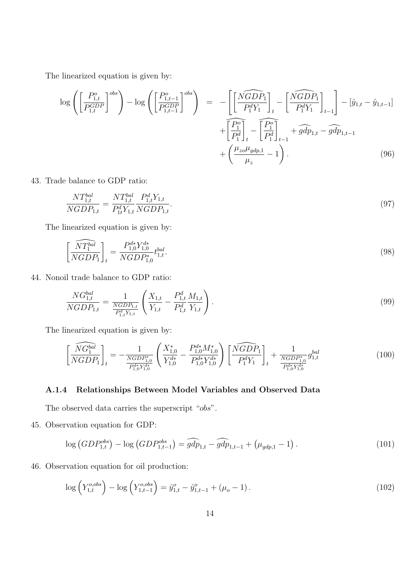The linearized equation is given by:

$$
\log\left(\left[\frac{P_{1,t}^o}{P_{1,t}^{GDP}}\right]^{obs}\right) - \log\left(\left[\frac{P_{1,t-1}^o}{P_{1,t-1}^{GDP}}\right]^{obs}\right) = -\left[\left[\frac{\widehat{NGDP}_1}{P_1^d Y_1}\right]_t - \left[\frac{\widehat{NGDP}_1}{P_1^d Y_1}\right]_{t-1}\right] - \left[\hat{y}_{1,t} - \hat{y}_{1,t-1}\right] + \left[\frac{\widehat{P_1^o}}{\widehat{P_1^d}}\right]_t - \left[\frac{\widehat{P_1^o}}{\widehat{P_1^d}}\right]_t + \widehat{gdp}_{1,t} - \widehat{gdp}_{1,t-1} + \left(\frac{\mu_{zo}\mu_{gdp,1}}{\mu_z} - 1\right). \tag{96}
$$

43. Trade balance to GDP ratio:

$$
\frac{NT_{1,t}^{bal}}{NGDP_{1,t}} = \frac{NT_{1,t}^{bal}}{P_{1t}^d Y_{1,t}} \frac{P_{1,t}^d Y_{1,t}}{NGDP_{1,t}}.
$$
\n(97)

The linearized equation is given by:

$$
\left[\frac{\widehat{NT_1^{bal}}}{NGDP_1}\right]_t = \frac{P_{1,0}^{d*} Y_{1,0}^{d*}}{NGDP_{1,0}^*} t_{1,t}^{bal}.\tag{98}
$$

44. Nonoil trade balance to GDP ratio:

$$
\frac{NG_{1,t}^{bal}}{NGDP_{1,t}} = \frac{1}{\frac{NGDP_{1,t}}{P_{1,t}^d Y_{1,t}}} \left( \frac{X_{1,t}}{Y_{1,t}} - \frac{P_{1,t}^d}{P_{1,t}^d Y_{1,t}} \frac{M_{1,t}}{Y_{1,t}} \right).
$$
\n(99)

The linearized equation is given by:

$$
\left[\widehat{\frac{NG^{bal}_{1}}{NGDP_{1}}}\right]_{t} = -\frac{1}{\frac{NGDP_{1,0}^{*}}{P_{1,0}^{d*}Y_{1,0}^{d*}}} \left(\frac{X_{1,0}^{*}}{Y_{1,0}^{d*}} - \frac{P_{1,0}^{d*}M_{1,0}^{*}}{P_{1,0}^{d*}Y_{1,0}^{d*}}\right) \left[\widehat{\frac{NGDP_{1}}{P_{1}^{d}Y_{1}}}\right]_{t} + \frac{1}{\frac{NGDP_{1,0}^{*}}{P_{1,0}^{d*}Y_{1,0}^{d*}}g_{1,t}^{bal}} \tag{100}
$$

#### A.1.4 Relationships Between Model Variables and Observed Data

The observed data carries the superscript "obs".

45. Observation equation for GDP:

$$
\log\left(GDP_{1,t}^{obs}\right) - \log\left(GDP_{1,t-1}^{obs}\right) = \widehat{gdp}_{1,t} - \widehat{gdp}_{1,t-1} + \left(\mu_{gdp,1} - 1\right). \tag{101}
$$

46. Observation equation for oil production:

$$
\log\left(Y_{1,t}^{o,obs}\right) - \log\left(Y_{1,t-1}^{o,obs}\right) = \hat{y}_{1,t}^o - \hat{y}_{1,t-1}^o + (\mu_o - 1). \tag{102}
$$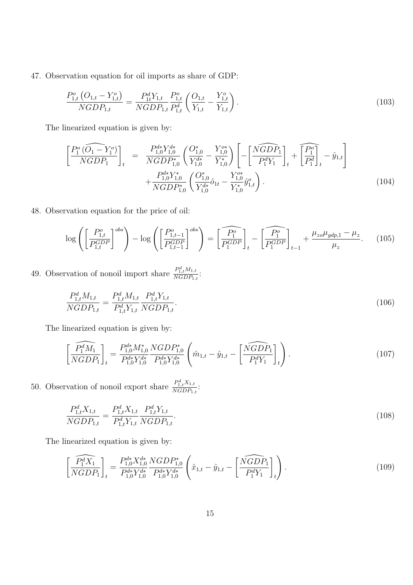47. Observation equation for oil imports as share of GDP:

$$
\frac{P_{1,t}^o\left(O_{1,t} - Y_{1,t}^o\right)}{NGDP_{1,t}} = \frac{P_{1t}^d Y_{1,t}}{NGDP_{1,t}} \frac{P_{1,t}^o}{P_{1,t}^d} \left(\frac{O_{1,t}}{Y_{1,t}} - \frac{Y_{1,t}^o}{Y_{1,t}}\right). \tag{103}
$$

The linearized equation is given by:

$$
\left[\frac{P_1^o(\widehat{O_1} - Y_1^o)}{NGDP_1}\right]_t = \frac{P_{1,0}^{d*} Y_{1,0}^{d*}}{NGDP_{1,0}} \left(\frac{O_{1,0}^*}{Y_{1,0}^{d*}} - \frac{Y_{1,0}^{o*}}{Y_{1,0}^*}\right) \left[-\left[\frac{\widehat{NGDP_1}}{P_1^d Y_1}\right]_t + \left[\frac{P_1^o}{P_1^d}\right]_t - \hat{y}_{1,t}\right] + \frac{P_{1,0}^{d*} Y_{1,0}^*}{NGDP_{1,0}^*} \left(\frac{O_{1,0}^*}{Y_{1,0}^{d*}} \hat{o}_{1t} - \frac{Y_{1,0}^{o*}}{Y_{1,0}^*} \hat{y}_{1,t}^o\right). \tag{104}
$$

48. Observation equation for the price of oil:

$$
\log \left( \left[ \frac{P_{1,t}^o}{P_{1,t}^{GDP}} \right]^{obs} \right) - \log \left( \left[ \frac{P_{1,t-1}^o}{P_{1,t-1}^{GDP}} \right]^{obs} \right) = \left[ \widehat{P_1^o} \right]_t - \left[ \widehat{P_1^o} \right]_t + \frac{\mu_{zo} \mu_{gdp,1} - \mu_z}{\mu_z}.
$$
 (105)

49. Observation of nonoil import share  $\frac{P_{1,t}^d M_{1,t}}{NCDP_{0,t}}$  $\frac{r_{1,t}M_{1,t}}{NGDP_{1,t}}$ :

$$
\frac{P_{1,t}^d M_{1,t}}{NGDP_{1,t}} = \frac{P_{1,t}^d M_{1,t}}{P_{1,t}^d Y_{1,t}} \frac{P_{1,t}^d Y_{1,t}}{NGDP_{1,t}}.
$$
\n(106)

The linearized equation is given by:

$$
\left[\widehat{\frac{P_1^d M_1}{NGDP_1}}\right]_t = \frac{P_{1,0}^{d*} M_{1,0}^*}{P_{1,0}^{d*} Y_{1,0}^{d*}} \frac{NGDP_{1,0}^*}{P_{1,0}^{d*} Y_{1,0}^{d*}} \left(\hat{m}_{1,t} - \hat{y}_{1,t} - \left[\widehat{\frac{NGDP_1}{P_1^d Y_1}}\right]_t\right). \tag{107}
$$

50. Observation of nonoil export share  $\frac{P_{1,t}^d X_{1,t}}{NGDP_t}$  $\frac{r_{1,t}A_{1,t}}{NGDP_{1,t}}$ :

$$
\frac{P_{1,t}^d X_{1,t}}{NGDP_{1,t}} = \frac{P_{1,t}^d X_{1,t}}{P_{1,t}^d Y_{1,t}} \frac{P_{1,t}^d Y_{1,t}}{NGDP_{1,t}}.
$$
\n(108)

$$
\left[\widehat{\frac{P_1^d X_1}{NGDP_1}}\right]_t = \frac{P_{1,0}^{d*} X_{1,0}^{d*}}{P_{1,0}^{d*} Y_{1,0}^{d*}} \frac{NGDP_{1,0}^*}{P_{1,0}^{d*} Y_{1,0}^{d*}} \left(\hat{x}_{1,t} - \hat{y}_{1,t} - \left[\widehat{\frac{NGDP_1}{P_1^d Y_1}}\right]_t\right). \tag{109}
$$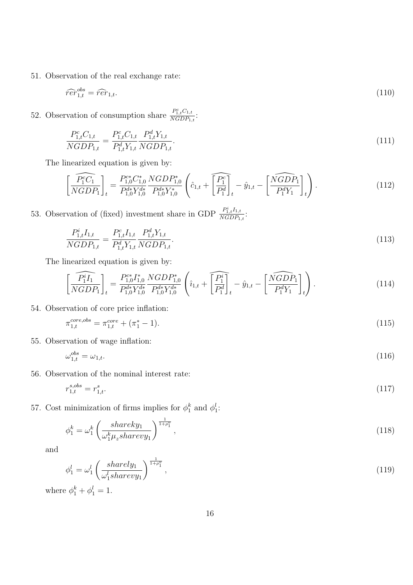51. Observation of the real exchange rate:

$$
\widehat{rer}^{obs}_{1,t} = \widehat{rer}_{1,t}.\tag{110}
$$

52. Observation of consumption share  $\frac{P_{1,t}^c C_{1,t}}{NGDP_t}$  $\frac{r_{1,t}C_{1,t}}{NGDP_{1,t}}$ :

$$
\frac{P_{1,t}^c C_{1,t}}{NGDP_{1,t}} = \frac{P_{1,t}^c C_{1,t}}{P_{1,t}^d Y_{1,t}} \frac{P_{1,t}^d Y_{1,t}}{NGDP_{1,t}}.
$$
\n(111)

The linearized equation is given by:

$$
\left[\widehat{\frac{P_1^c C_1}{NGDP_1}}\right]_t = \frac{P_{1,0}^{c*} C_{1,0}^*}{P_{1,0}^{d*} Y_{1,0}^{d*}} \frac{NGDP_{1,0}^*}{P_{1,0}^{d*} Y_{1,0}^*} \left(\hat{c}_{1,t} + \widehat{\left[\frac{P_1^c}{P_1^d}\right]_t} - \hat{y}_{1,t} - \widehat{\left[\frac{NGDP_1}{P_1^d Y_1}\right]_t}\right). \tag{112}
$$

53. Observation of (fixed) investment share in GDP  $\frac{P_{1,t}^i I_{1,t}}{NGDP}$  $\frac{r_{1,t}I_{1,t}}{NGDP_{1,t}}$ :

$$
\frac{P_{1,t}^i I_{1,t}}{NGDP_{1,t}} = \frac{P_{1,t}^c I_{1,t}}{P_{1,t}^d Y_{1,t}} \frac{P_{1,t}^d Y_{1,t}}{NGDP_{1,t}}.
$$
\n(113)

The linearized equation is given by:

$$
\left[\widehat{\frac{P_1^i I_1}{NGDP_1}}\right]_t = \frac{P_{1,0}^{c*} I_{1,0}^*}{P_{1,0}^{d*} Y_{1,0}^{d*}} \frac{NGDP_{1,0}^*}{P_{1,0}^{d*} Y_{1,0}^{d*}} \left(\hat{i}_{1,t} + \widehat{\left[\frac{P_1^i}{P_1^d}\right]_t} - \hat{y}_{1,t} - \left[\widehat{\frac{NGDP_1}{P_1^d Y_1}}\right]_t\right). \tag{114}
$$

54. Observation of core price inflation:

$$
\pi_{1,t}^{core,obs} = \pi_{1,t}^{core} + (\pi_1^* - 1). \tag{115}
$$

55. Observation of wage inflation:

 $\omega_{1,t}^{obs} = \omega_{1,t}.$  (116)

56. Observation of the nominal interest rate:

$$
r_{1,t}^{s,obs} = r_{1,t}^s. \tag{117}
$$

57. Cost minimization of firms implies for  $\phi_1^k$  $\frac{k}{1}$  and  $\phi_1^l$  $\frac{l}{1}$ :

$$
\phi_1^k = \omega_1^k \left( \frac{shareky_1}{\omega_1^k \mu_z sharevy_1} \right)^{\frac{1}{1+\rho_1^v}},\tag{118}
$$

and

$$
\phi_1^l = \omega_1^l \left( \frac{sharedy_1}{\omega_1^l share y_1} \right)^{\frac{1}{1+\rho_1^v}}, \tag{119}
$$

where  $\phi_1^k + \phi_1^l = 1$ .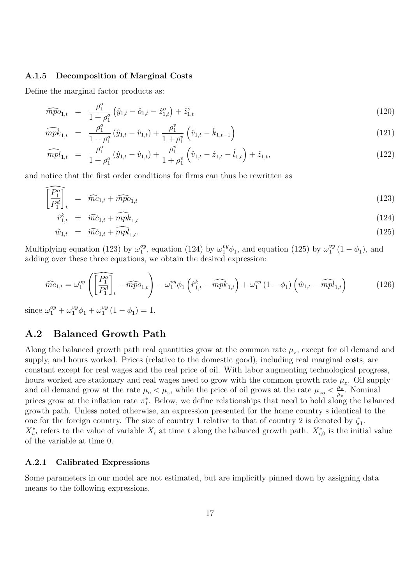#### A.1.5 Decomposition of Marginal Costs

Define the marginal factor products as:

$$
\widehat{mpo}_{1,t} = \frac{\rho_1^o}{1 + \rho_1^o} \left( \hat{y}_{1,t} - \hat{o}_{1,t} - \hat{z}_{1,t}^o \right) + \hat{z}_{1,t}^o \tag{120}
$$

$$
\widehat{mpk}_{1,t} = \frac{\rho_1^o}{1 + \rho_1^o} (\hat{y}_{1,t} - \hat{v}_{1,t}) + \frac{\rho_1^v}{1 + \rho_1^v} (\hat{v}_{1,t} - \hat{k}_{1,t-1})
$$
\n(121)

$$
\widehat{mpl}_{1,t} = \frac{\rho_1^o}{1 + \rho_1^o} (\hat{y}_{1,t} - \hat{v}_{1,t}) + \frac{\rho_1^v}{1 + \rho_1^v} \left( \hat{v}_{1,t} - \hat{z}_{1,t} - \hat{l}_{1,t} \right) + \hat{z}_{1,t},
$$
\n(122)

and notice that the first order conditions for firms can thus be rewritten as

$$
\widehat{\left[\frac{P_1^o}{P_1^d}\right]_t} = \widehat{mc}_{1,t} + \widehat{mpo}_{1,t} \tag{123}
$$

$$
\hat{r}_{1,t}^k = \widehat{mc}_{1,t} + \widehat{mpk}_{1,t} \tag{124}
$$

$$
\hat{w}_{1,t} = \widehat{mc}_{1,t} + \widehat{mpl}_{1,t}.\tag{125}
$$

Multiplying equation (123) by  $\omega_1^{oy}$  $_1^{\text{oy}},$  equation (124) by  $\omega_1^{\text{vy}}\phi_1$ , and equation (125) by  $\omega_1^{\text{vy}}$  $_{1}^{vy}$   $(1 - \phi_1)$ , and adding over these three equations, we obtain the desired expression:

$$
\widehat{mc}_{1,t} = \omega_1^{oy} \left( \overline{\left[ \frac{P_1^o}{P_1^d} \right]_t} - \widehat{mpo}_{1,t} \right) + \omega_1^{vy} \phi_1 \left( \hat{r}_{1,t}^k - \widehat{mpk}_{1,t} \right) + \omega_1^{vy} \left( 1 - \phi_1 \right) \left( \hat{w}_{1,t} - \widehat{mpl}_{1,t} \right) \tag{126}
$$

since  $\omega_1^{oy} + \omega_1^{vy}\phi_1 + \omega_1^{vy}$  $i^{vy}_1(1-\phi_1)=1.$ 

### A.2 Balanced Growth Path

Along the balanced growth path real quantities grow at the common rate  $\mu_z$ , except for oil demand and supply, and hours worked. Prices (relative to the domestic good), including real marginal costs, are constant except for real wages and the real price of oil. With labor augmenting technological progress, hours worked are stationary and real wages need to grow with the common growth rate  $\mu_z$ . Oil supply and oil demand grow at the rate  $\mu_o < \mu_z$ , while the price of oil grows at the rate  $\mu_{zo} < \frac{\mu_z}{\mu_o}$  $\frac{\mu_z}{\mu_o}$ . Nominal prices grow at the inflation rate  $\pi_1^*$ . Below, we define relationships that need to hold along the balanced growth path. Unless noted otherwise, an expression presented for the home country s identical to the one for the foreign country. The size of country 1 relative to that of country 2 is denoted by  $\zeta_1$ .  $X_{i,t}^*$  refers to the value of variable  $X_i$  at time t along the balanced growth path.  $X_{i,0}^*$  is the initial value of the variable at time 0.

#### A.2.1 Calibrated Expressions

Some parameters in our model are not estimated, but are implicitly pinned down by assigning data means to the following expressions.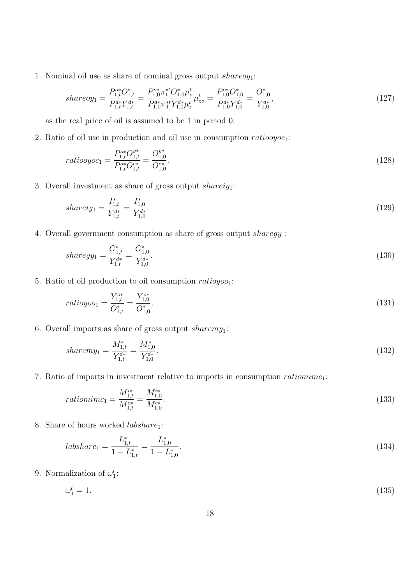1. Nominal oil use as share of nominal gross output  $sharp\; charge$ 

$$
shareoy_1 = \frac{P_{1,t}^{o*}O_{1,t}^*}{P_{1,t}^{d*}Y_{1,t}^{d*}} = \frac{P_{1,0}^{o*} \pi_1^{*t}O_{1,0}^* \mu_o^t}{P_{1,0}^{d*} \pi_1^{*t}Y_{1,0}^{d*} \mu_z^t} \mu_{zo}^t = \frac{P_{1,0}^{o*}O_{1,0}^*}{P_{1,0}^{d*}Y_{1,0}^{d*}} = \frac{O_{1,0}^*}{Y_{1,0}^{d*}},\tag{127}
$$

as the real price of oil is assumed to be 1 in period 0.

2. Ratio of oil use in production and oil use in consumption  $ratiooyoc<sub>1</sub>$ :

$$
ratiooyoc_1 = \frac{P_{1,t}^{o*}O_{1,t}^{y*}}{P_{1,t}^{o*}O_{1,t}^{c*}} = \frac{O_{1,0}^{y*}}{O_{1,0}^{c*}}.
$$
\n(128)

3. Overall investment as share of gross output shareiy<sub>1</sub>:

$$
shareiy_1 = \frac{I_{1,t}^*}{Y_{1,t}^{d*}} = \frac{I_{1,0}^*}{Y_{1,0}^{d*}}.\tag{129}
$$

4. Overall government consumption as share of gross output  $sharp$ 

$$
sharegy_1 = \frac{G_{1,t}^*}{Y_{1,t}^{d*}} = \frac{G_{1,0}^*}{Y_{1,0}^{d*}}.\tag{130}
$$

5. Ratio of oil production to oil consumption  $ratioyoo_1$ :

$$
ratioyoo_1 = \frac{Y_{1,t}^{o*}}{O_{1,t}^*} = \frac{Y_{1,0}^{o*}}{O_{1,0}^*}.
$$
\n(131)

6. Overall imports as share of gross output sharemy<sub>1</sub>:

$$
sharemy_1 = \frac{M_{1,t}^*}{Y_{1,t}^{d*}} = \frac{M_{1,0}^*}{Y_{1,0}^{d*}}.\tag{132}
$$

7. Ratio of imports in investment relative to imports in consumption  $rationime_1$ :

$$
rationim c_1 = \frac{M_{1,t}^{i*}}{M_{1,t}^{c*}} = \frac{M_{1,0}^{i*}}{M_{1,0}^{c*}}.
$$
\n
$$
(133)
$$

8. Share of hours worked  $labshare_1$ :

$$
label{eq:1} labelshare_1 = \frac{L_{1,t}^*}{1 - L_{1,t}^*} = \frac{L_{1,0}^*}{1 - L_{1,0}^*}.\tag{134}
$$

9. Normalization of  $\omega_1^l$ :

$$
\omega_1^l = 1. \tag{135}
$$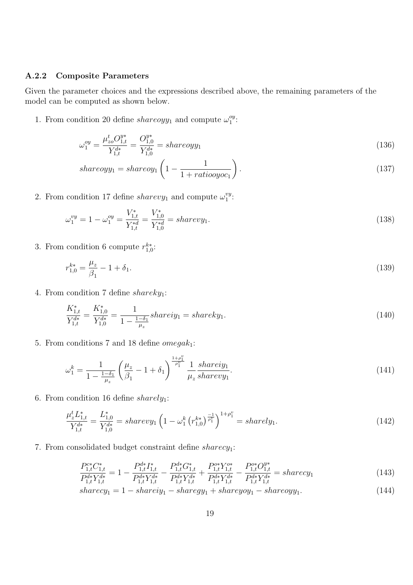#### A.2.2 Composite Parameters

Given the parameter choices and the expressions described above, the remaining parameters of the model can be computed as shown below.

1. From condition 20 define share  $\log y_1$  and compute  $\omega_1^{oy}$  $\frac{oy}{1}$ :

$$
\omega_1^{oy} = \frac{\mu_{zo}^t O_{1,t}^{y*}}{Y_{1,t}^{d*}} = \frac{O_{1,0}^{y*}}{Y_{1,0}^{d*}} = shareoyy_1
$$
\n(136)

$$
shareoyy_1 = shareoy_1 \left(1 - \frac{1}{1 + ratiooyoc_1}\right). \tag{137}
$$

2. From condition 17 define *sharevy*<sub>1</sub> and compute  $\omega_1^{vy}$  $\frac{vy}{1}$ :

$$
\omega_1^{vy} = 1 - \omega_1^{oy} = \frac{V_{1,t}^*}{Y_{1,t}^{*d}} = \frac{V_{1,0}^*}{Y_{1,0}^{*d}} = sharevy_1.
$$
\n(138)

3. From condition 6 compute  $r_{1,0}^{k*}$ :

$$
r_{1,0}^{k*} = \frac{\mu_z}{\beta_1} - 1 + \delta_1. \tag{139}
$$

4. From condition 7 define  $sharedy_1$ :

$$
\frac{K_{1,t}^*}{Y_{1,t}^{d*}} = \frac{K_{1,0}^*}{Y_{1,0}^{d*}} = \frac{1}{1 - \frac{1 - \delta_1}{\mu_z}} shareiy_1 = shareky_1.
$$
\n(140)

5. From conditions 7 and 18 define  $omega_{1}$ :

$$
\omega_1^k = \frac{1}{1 - \frac{1 - \delta_1}{\mu_z}} \left( \frac{\mu_z}{\beta_1} - 1 + \delta_1 \right)^{\frac{1 + \rho_1^v}{\rho_1^v}} \frac{1}{\mu_z} \frac{shareiy_1}{sharevy_1}.
$$
\n(141)

6. From condition 16 define  $sharedy_1$ :

$$
\frac{\mu_z^t L_{1,t}^*}{Y_{1,t}^{d*}} = \frac{L_{1,0}^*}{Y_{1,0}^{d*}} = sharevy_1 \left(1 - \omega_1^k \left(r_{1,0}^{k*}\right)^{-1} \right)^{1+\rho_1^v} = sharedy_1. \tag{142}
$$

7. From consolidated budget constraint define  $shared_1$ :

$$
\frac{P_{1,t}^{c*}C_{1,t}^*}{P_{1,t}^{d*}Y_{1,t}^{d*}} = 1 - \frac{P_{1,t}^{d*}I_{1,t}^*}{P_{1,t}^{d*}Y_{1,t}^{d*}} - \frac{P_{1,t}^{d*}G_{1,t}^*}{P_{1,t}^{d*}Y_{1,t}^{d*}} + \frac{P_{1,t}^{o*}Y_{1,t}^{o*}}{P_{1,t}^{d*}Y_{1,t}^{d*}} - \frac{P_{1,t}^{o*}O_{1,t}^{y*}}{P_{1,t}^{d*}Y_{1,t}^{d*}} = sharecy_1
$$
\n
$$
(143)
$$

$$
sharecy1 = 1 - shareiy1 - sharegy1 + shareyoy1 - shareoyy1.
$$
\n(144)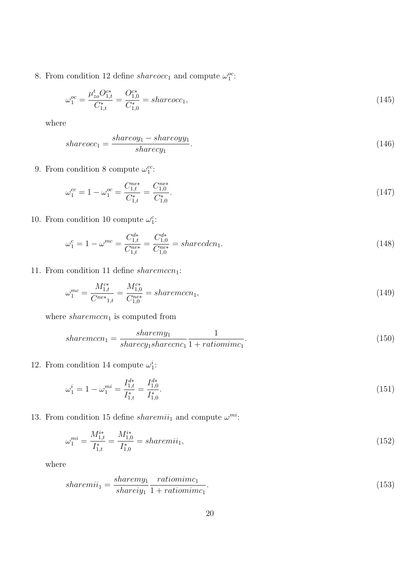8. From condition 12 define  $shareocc_1$  and compute  $\omega_1^{oc}$ :

$$
\omega_1^{oc} = \frac{\mu_{zo}^t O_{1,t}^{c*}}{C_{1,t}^*} = \frac{O_{1,0}^{c*}}{C_{1,0}^*} = shareocc_1,
$$
\n(145)

where

$$
shareocc_1 = \frac{shareoy_1 - shareoyy_1}{sharecy_1}.\tag{146}
$$

9. From condition 8 compute  $\omega_1^{cc}$ :

$$
\omega_1^{cc} = 1 - \omega_1^{oc} = \frac{C_{1,t}^{ne*}}{C_{1,t}^*} = \frac{C_{1,0}^{ne*}}{C_{1,0}^*}.
$$
\n(147)

10. From condition 10 compute  $\omega_1^c$ :

$$
\omega_1^c = 1 - \omega^{mc} = \frac{C_{1,t}^{d*}}{C_{1,t}^{ne*}} = \frac{C_{1,0}^{d*}}{C_{1,0}^{ne*}} = sharedcn_1.
$$
\n(148)

11. From condition 11 define  $sharemccn_1$ :

$$
\omega_1^{mc} = \frac{M_{1,t}^{c*}}{C^{ne*}_{1,t}} = \frac{M_{1,0}^{c*}}{C_{1,0}^{ne*}} = sharemccn_1,\tag{149}
$$

where  $sharemccn_1$  is computed from

$$
sharemccn_1 = \frac{sharp_1}{sharecy_1 sharecnc_1} \frac{1}{1 + rationimc_1}.\tag{150}
$$

12. From condition 14 compute  $\omega_1^i$ :

$$
\omega_1^i = 1 - \omega_1^{mi} = \frac{I_{1,t}^{d*}}{I_{1,t}^*} = \frac{I_{1,0}^{d*}}{I_{1,0}^*}.
$$
\n(151)

13. From condition 15 define *sharemii*<sub>1</sub> and compute  $\omega^{mi}$ .

$$
\omega_1^{mi} = \frac{M_{1,t}^{i*}}{I_{1,t}^*} = \frac{M_{1,0}^{i*}}{I_{1,0}^*} = sharemi_1,\tag{152}
$$

where

$$
sharemi_1 = \frac{sharemy_1}{shareiy_1} \frac{rationimc_1}{1 + rationimc_1}.\tag{153}
$$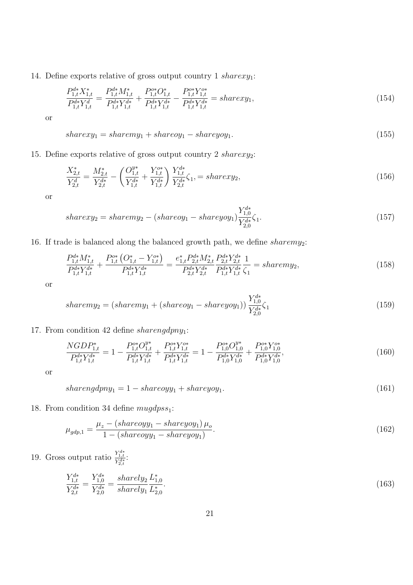14. Define exports relative of gross output country 1  $sharexy_1$ :

$$
\frac{P_{1,t}^{d*}X_{1,t}^*}{P_{1,t}^{d*}Y_{1,t}^d} = \frac{P_{1,t}^{d*}M_{1,t}^*}{P_{1,t}^{d*}Y_{1,t}^{d*}} + \frac{P_{1,t}^{o*}O_{1,t}^*}{P_{1,t}^{d*}Y_{1,t}^{d*}} - \frac{P_{1,t}^{o*}Y_{1,t}^{o*}}{P_{1,t}^{d*}Y_{1,t}^{d*}} = sharexy_1,\tag{154}
$$

or

$$
sharexy_1 = sharemy_1 + shareoy_1 - shareyoy_1. \tag{155}
$$

15. Define exports relative of gross output country 2  $sharexy_2$ :

$$
\frac{X_{2,t}^*}{Y_{2,t}^d} = \frac{M_{2,t}^*}{Y_{2,t}^{d*}} - \left(\frac{O_{1,t}^{y*}}{Y_{1,t}^{d*}} + \frac{Y_{1,t}^{o*}}{Y_{1,t}^{d*}}\right) \frac{Y_{1,t}^{d*}}{Y_{2,t}^{d*}} \zeta_1, = sharexy_2,\tag{156}
$$

or

$$
sharexy_2 = sharemy_2 - (shareoy_1 - shareyoy_1) \frac{Y_{1,0}^{d*}}{Y_{2,0}^{d*}} \zeta_1.
$$
\n(157)

16. If trade is balanced along the balanced growth path, we define  $sharp_2$ :

$$
\frac{P_{1,t}^{d*} M_{1,t}^*}{P_{1,t}^{d*} Y_{1,t}^{d*}} + \frac{P_{1,t}^{o*} (O_{1,t}^* - Y_{1,t}^{o*})}{P_{1,t}^{d*} Y_{1,t}^{d*}} = \frac{e_{1,t}^* P_{2,t}^{d*} M_{2,t}^*}{P_{2,t}^{d*} Y_{2,t}^{d*}} \frac{P_{2,t}^{d*} Y_{2,t}^{d*}}{P_{1,t}^{d*} Y_{1,t}^{d*}} \frac{1}{\zeta_1} = sharemy_2,
$$
\n(158)

or

$$
sharemy_2 = (sharp_1 + (shareoy_1 - shareyoy_1)) \frac{Y_{1,0}^{d*}}{Y_{2,0}^{d*}} \zeta_1
$$
\n(159)

#### 17. From condition 42 define sharengdpny<sub>1</sub>:

$$
\frac{NGDP_{1,t}^*}{P_{1,t}^{d*}Y_{1,t}^{d*}} = 1 - \frac{P_{1,t}^{o*}O_{1,t}^{y*}}{P_{1,t}^{d*}Y_{1,t}^{d*}} + \frac{P_{1,t}^{o*}Y_{1,t}^{o*}}{P_{1,t}^{d*}Y_{1,t}^{d*}} = 1 - \frac{P_{1,0}^{o*}O_{1,0}^{y*}}{P_{1,0}^{d*}Y_{1,0}^{d*}} + \frac{P_{1,0}^{o*}Y_{1,0}^{o*}}{P_{1,0}^{d*}Y_{1,0}^{d*}},
$$
\n(160)

or

$$
sharedpny_1 = 1 - shareoyy_1 + shareyoy_1. \tag{161}
$$

18. From condition 34 define  $muggpss_1$ :

$$
\mu_{gdp,1} = \frac{\mu_z - (shareoyy_1 - shareyoy_1)\,\mu_o}{1 - (shareoyy_1 - shareyoy_1)}.\tag{162}
$$

19. Gross output ratio  $\frac{Y_{1,t}^{d*}}{Y_{2,t}^{d*}}$ :

$$
\frac{Y_{1,t}^{d*}}{Y_{2,t}^{d*}} = \frac{Y_{1,0}^{d*}}{Y_{2,0}^{d*}} = \frac{sharedy_2}{sharedy_1} \frac{L_{1,0}^*}{L_{2,0}^*}.
$$
\n(163)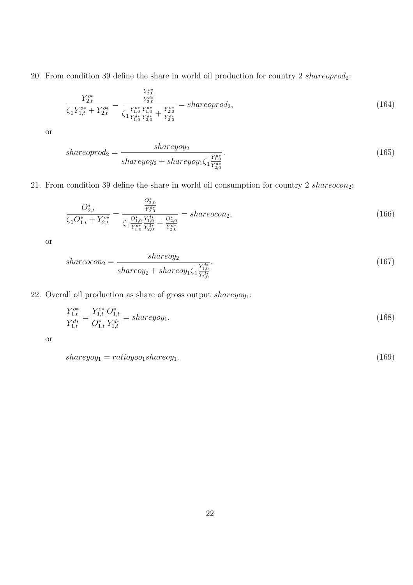20. From condition 39 define the share in world oil production for country 2 shareoprod<sub>2</sub>:

$$
\frac{Y_{2,t}^{o*}}{\zeta_1 Y_{1,t}^{o*} + Y_{2,t}^{o*}} = \frac{\frac{Y_{2,0}^{o*}}{Y_{2,0}^{d*}}}{\zeta_1 \frac{Y_{1,0}^{o*} Y_{1,0}^{d*} + Y_{2,0}^{o*}}{Y_{1,t}^{d*} Y_{2,0}^{d*}} + \frac{Y_{2,0}^{o*}}{Y_{2,0}^{d*}}} = shareoprod_2,
$$
\n(164)

or

$$
shareoprod_2 = \frac{shareyoy_2}{shareyoy_2 + shareyoy_1\zeta_1\frac{Y_{1,0}^{d*}}{Y_{2,0}^{d*}}}.\tag{165}
$$

21. From condition 39 define the share in world oil consumption for country 2 shareocon<sub>2</sub>:

$$
\frac{O_{2,t}^{*}}{\zeta_{1}O_{1,t}^{*} + Y_{2,t}^{o*}} = \frac{\frac{O_{2,0}^{*}}{Y_{2,t}^{d*}}}{\zeta_{1}\frac{O_{1,0}^{*}}{Y_{1,0}^{d*}}\frac{V_{1,0}^{d*}}{Y_{2,t}^{d*}} + \frac{O_{2,0}^{*}}{Y_{2,t}^{d*}}} = shareocon_{2},\tag{166}
$$

or

$$
shareocon_2 = \frac{shareo y_2}{shareo y_2 + shareo y_1 \zeta_1 \frac{Y_{1,0}^{d*}}{Y_{2,0}^{d*}}}.\tag{167}
$$

22. Overall oil production as share of gross output  $sharpeyoy_1$ :

$$
\frac{Y_{1,t}^{o*}}{Y_{1,t}^{d*}} = \frac{Y_{1,t}^{o*}}{O_{1,t}^*} \frac{O_{1,t}^*}{Y_{1,t}^{d*}} = shareyoy_1,\tag{168}
$$

or

$$
shareyoy_1 = ratioyoo_1 shareoy_1. \tag{169}
$$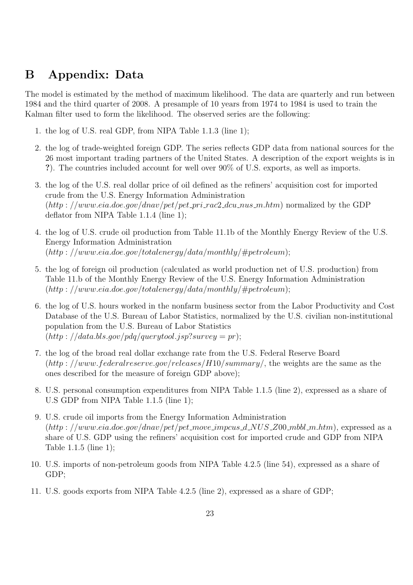## B Appendix: Data

The model is estimated by the method of maximum likelihood. The data are quarterly and run between 1984 and the third quarter of 2008. A presample of 10 years from 1974 to 1984 is used to train the Kalman filter used to form the likelihood. The observed series are the following:

- 1. the log of U.S. real GDP, from NIPA Table 1.1.3 (line 1);
- 2. the log of trade-weighted foreign GDP. The series reflects GDP data from national sources for the 26 most important trading partners of the United States. A description of the export weights is in ?). The countries included account for well over 90% of U.S. exports, as well as imports.
- 3. the log of the U.S. real dollar price of oil defined as the refiners' acquisition cost for imported crude from the U.S. Energy Information Administration  $(http://www.eia.doc.gov/dnav/pet/pet\_pri\_rac2_dcu_ny.html$  normalized by the GDP deflator from NIPA Table 1.1.4 (line 1);
- 4. the log of U.S. crude oil production from Table 11.1b of the Monthly Energy Review of the U.S. Energy Information Administration  $(http://www.eia.doc.gov/totalenergy/data/monthly/#petroleum);$
- 5. the log of foreign oil production (calculated as world production net of U.S. production) from Table 11.b of the Monthly Energy Review of the U.S. Energy Information Administration  $(\textit{http://www.eia.doe.gov/totalenergy/data/monthly/#petroleum});$
- 6. the log of U.S. hours worked in the nonfarm business sector from the Labor Productivity and Cost Database of the U.S. Bureau of Labor Statistics, normalized by the U.S. civilian non-institutional population from the U.S. Bureau of Labor Statistics  $(\textit{http://data.bls.gov/pdq/querytool.jsp?survey} = \textit{pr});$
- 7. the log of the broad real dollar exchange rate from the U.S. Federal Reserve Board  $(\text{http://www.federalreserve.gov/releases/H10/summary/},$  the weights are the same as the ones described for the measure of foreign GDP above);
- 8. U.S. personal consumption expenditures from NIPA Table 1.1.5 (line 2), expressed as a share of U.S GDP from NIPA Table 1.1.5 (line 1);
- 9. U.S. crude oil imports from the Energy Information Administration  $(\text{http://www.eia.doe.gov/dnav/pet/pet_move-impus_d_NUS_200_mbbl_m.htm})$ , expressed as a share of U.S. GDP using the refiners' acquisition cost for imported crude and GDP from NIPA Table 1.1.5 (line 1);
- 10. U.S. imports of non-petroleum goods from NIPA Table 4.2.5 (line 54), expressed as a share of GDP;
- 11. U.S. goods exports from NIPA Table 4.2.5 (line 2), expressed as a share of GDP;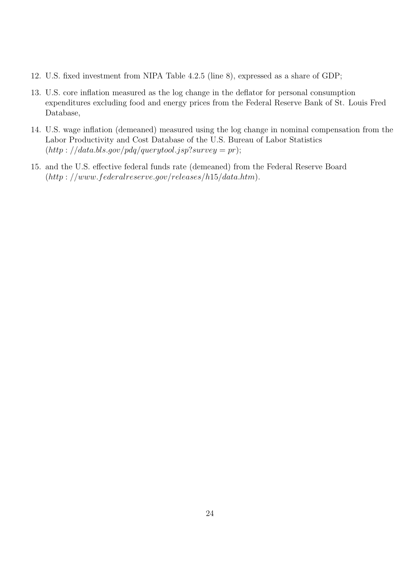- 12. U.S. fixed investment from NIPA Table 4.2.5 (line 8), expressed as a share of GDP;
- 13. U.S. core inflation measured as the log change in the deflator for personal consumption expenditures excluding food and energy prices from the Federal Reserve Bank of St. Louis Fred Database,
- 14. U.S. wage inflation (demeaned) measured using the log change in nominal compensation from the Labor Productivity and Cost Database of the U.S. Bureau of Labor Statistics  $(http://data.bls.gov/pdq/querytool.jsp?survey = pr);$
- 15. and the U.S. effective federal funds rate (demeaned) from the Federal Reserve Board  $(http://www.federalreserve.gov/releases/h15/data.htm).$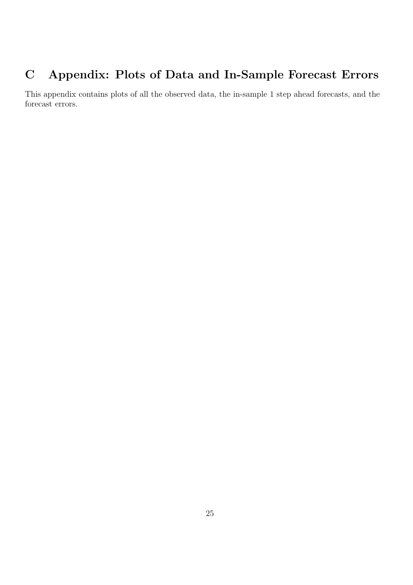# C Appendix: Plots of Data and In-Sample Forecast Errors

This appendix contains plots of all the observed data, the in-sample 1 step ahead forecasts, and the forecast errors.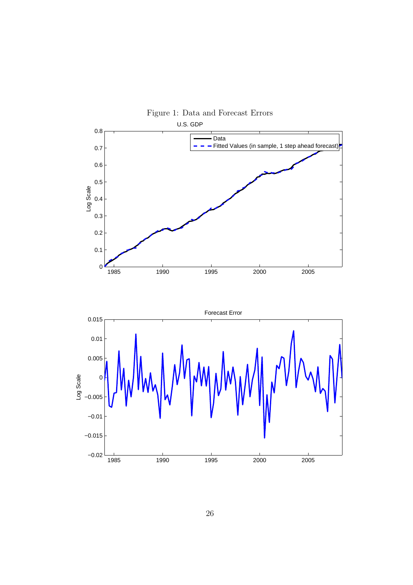

26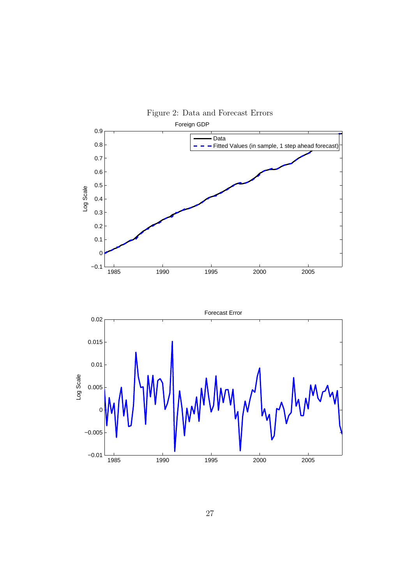

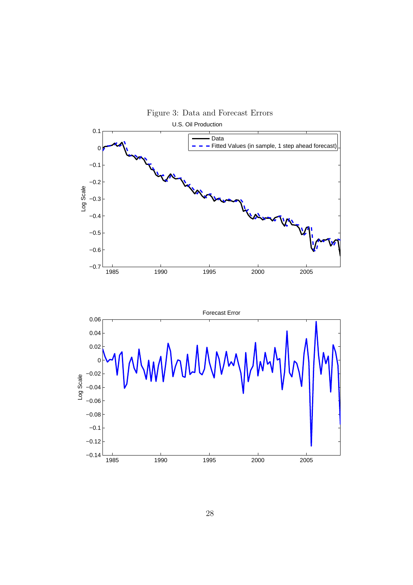

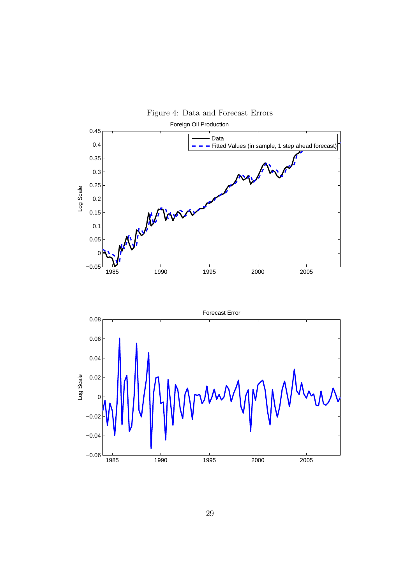

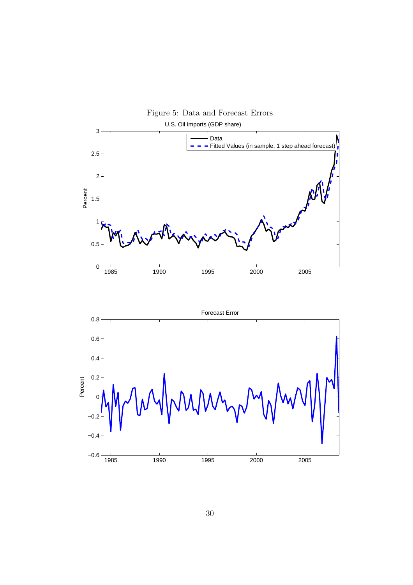

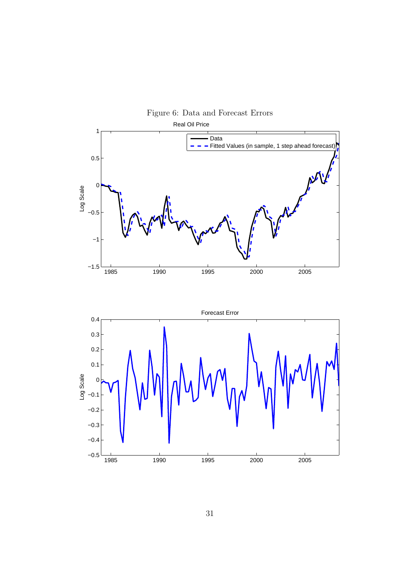

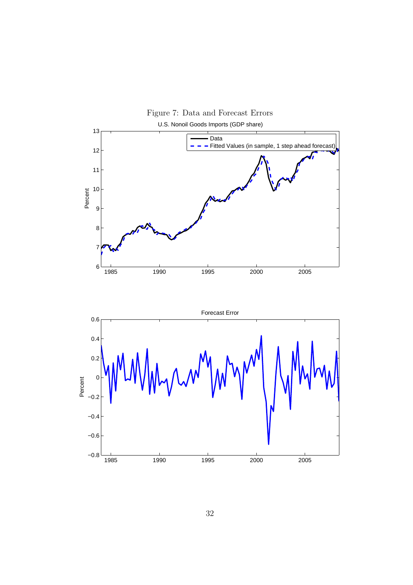

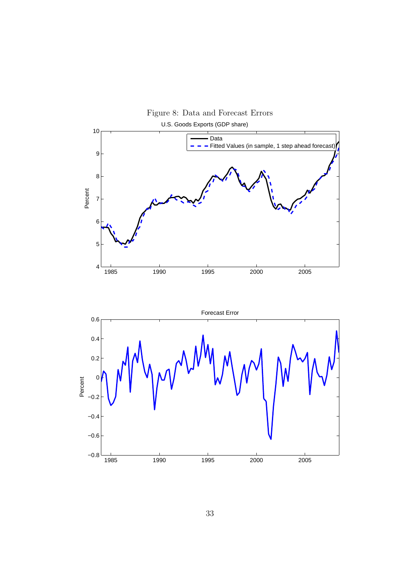

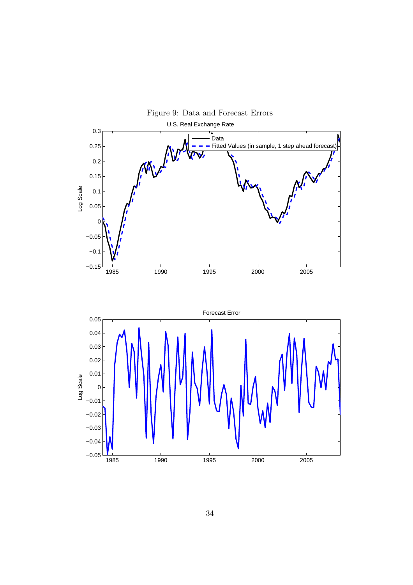

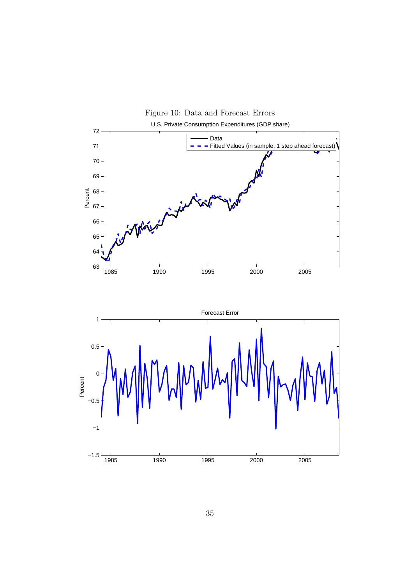

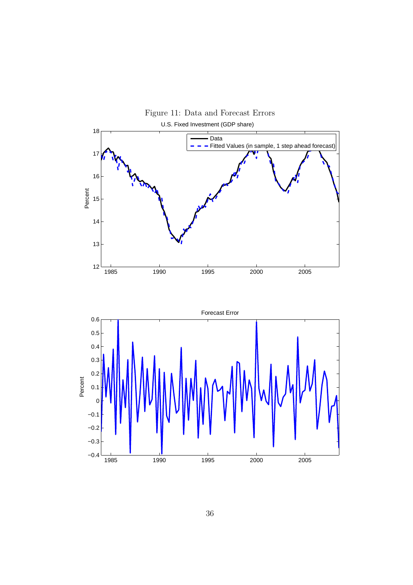

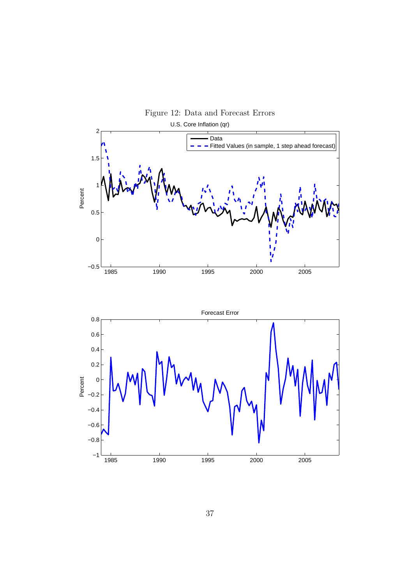

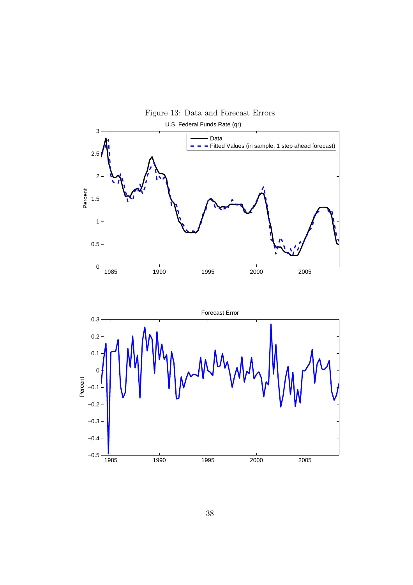

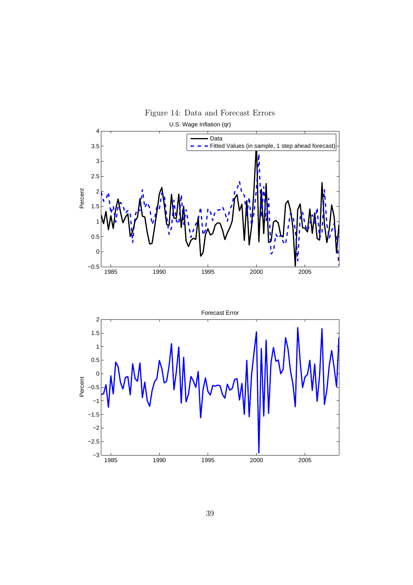

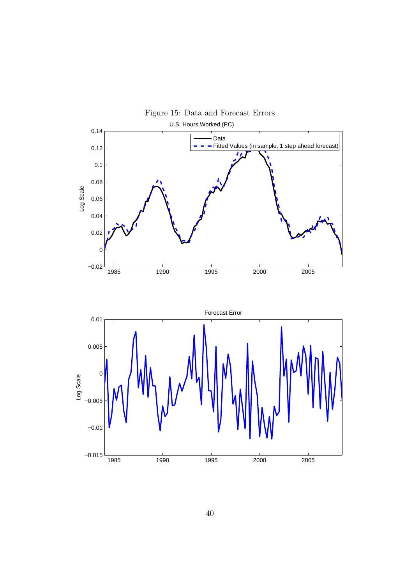

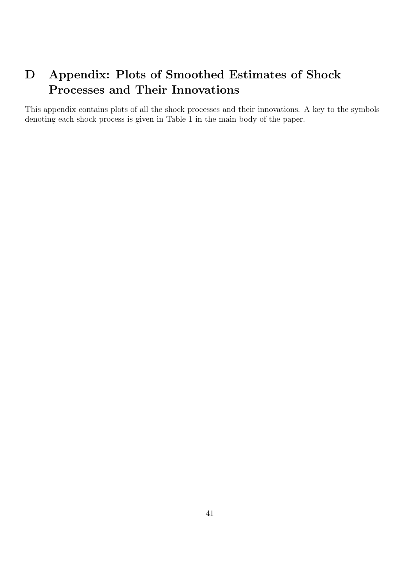# D Appendix: Plots of Smoothed Estimates of Shock Processes and Their Innovations

This appendix contains plots of all the shock processes and their innovations. A key to the symbols denoting each shock process is given in Table 1 in the main body of the paper.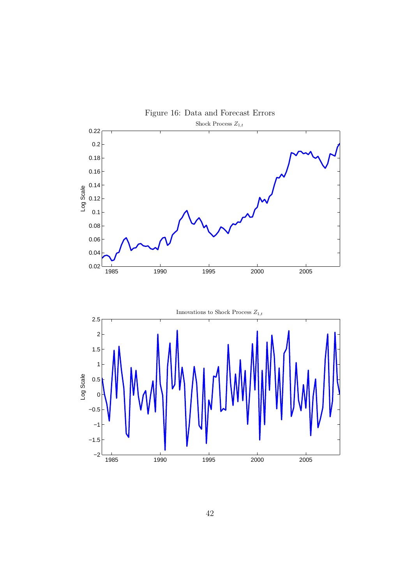

42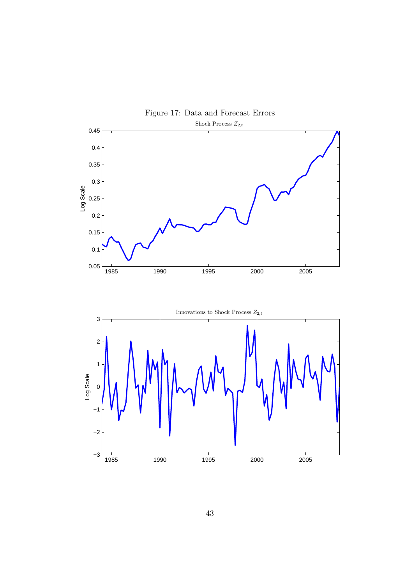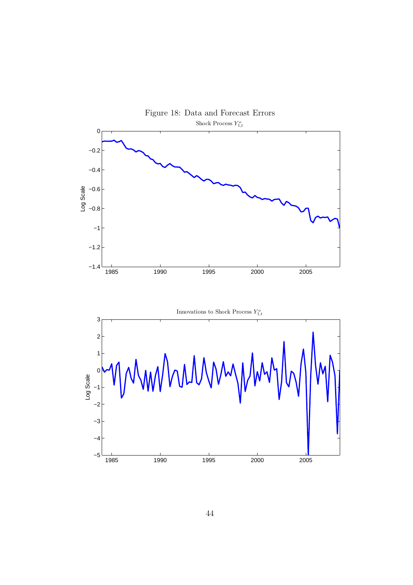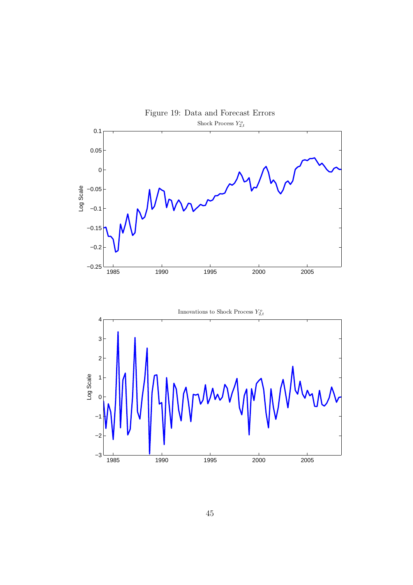

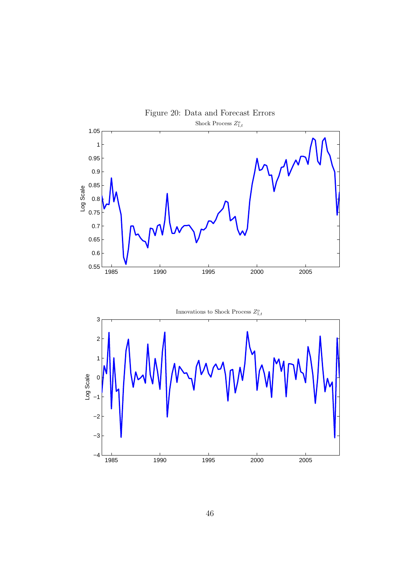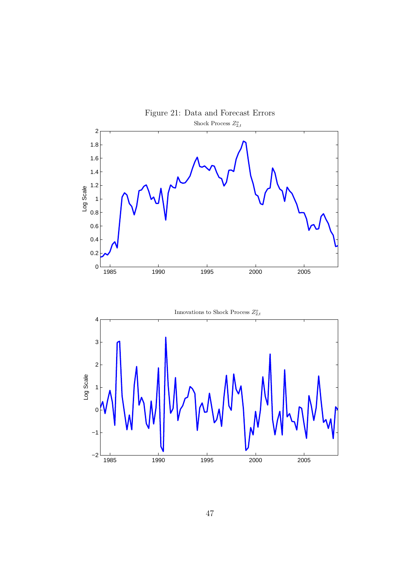

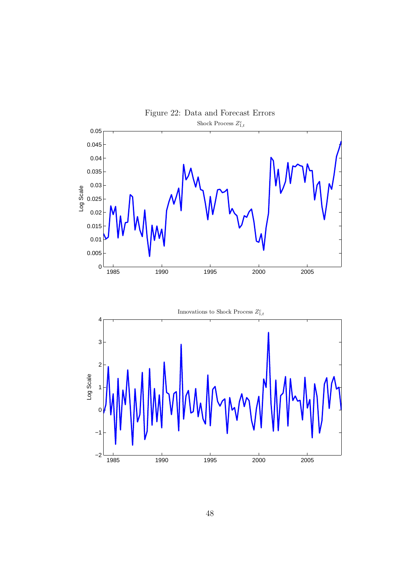

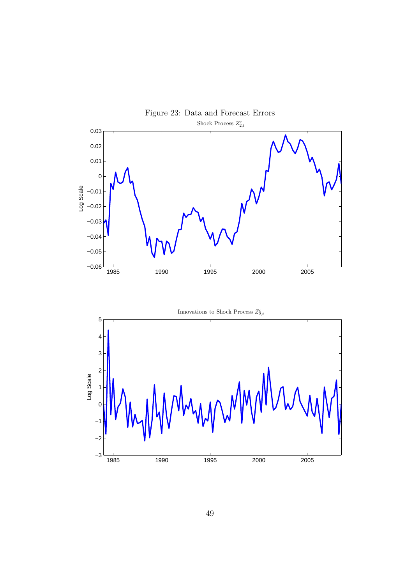

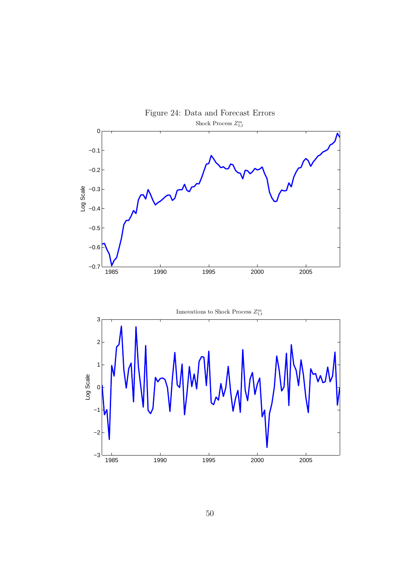

50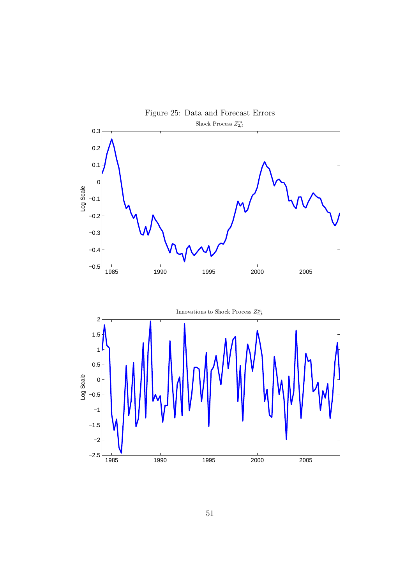

51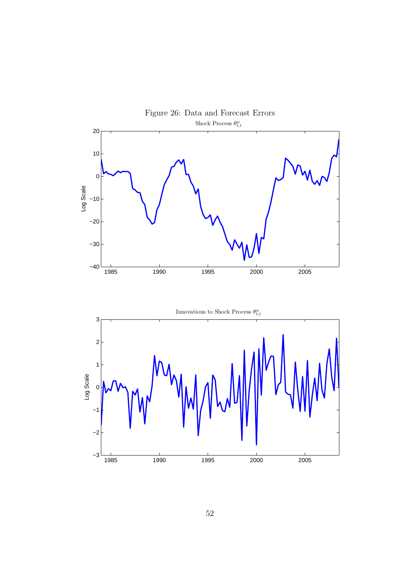

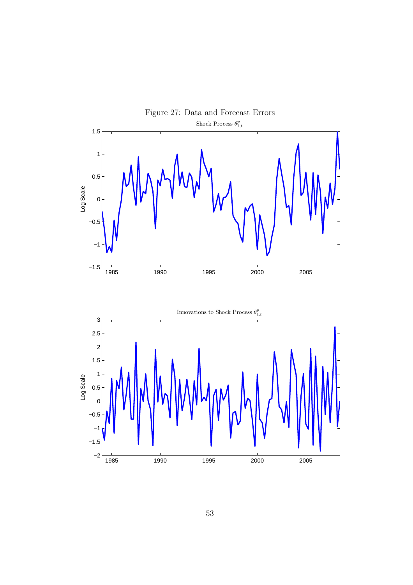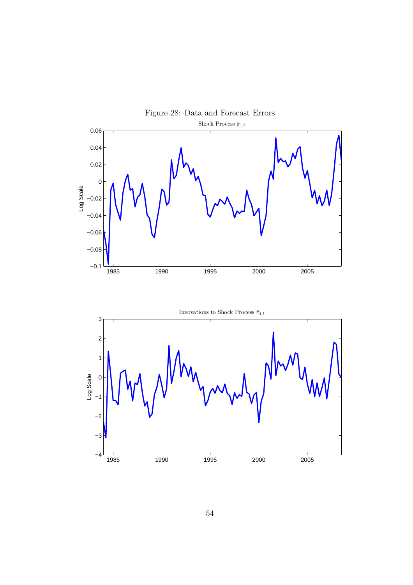

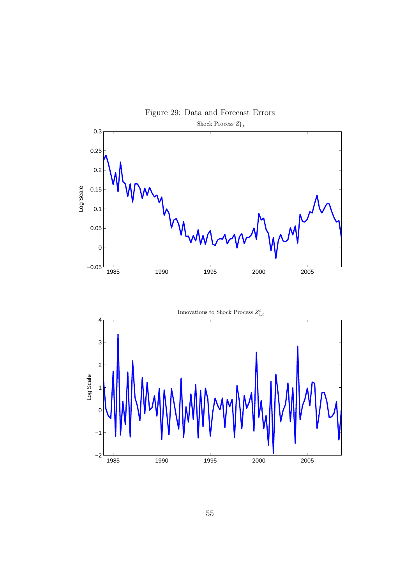



55